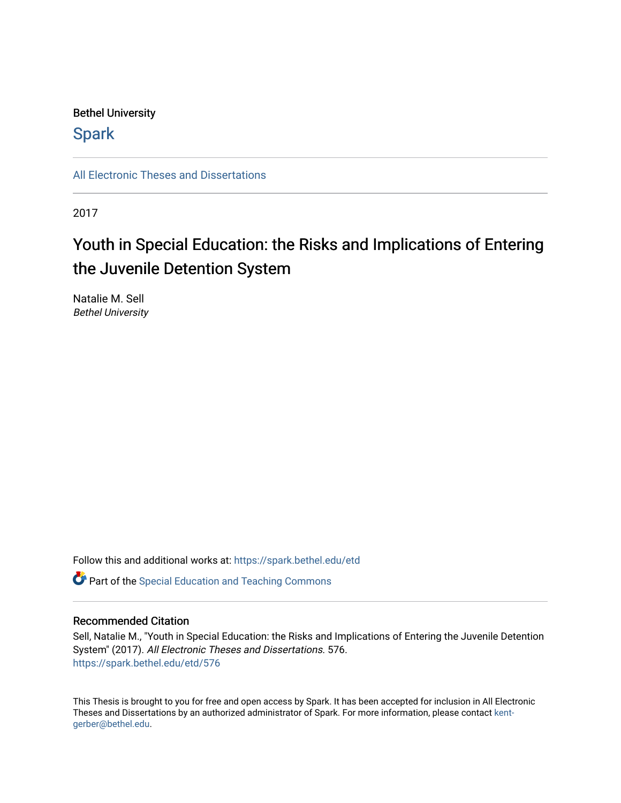## Bethel University

## **Spark**

[All Electronic Theses and Dissertations](https://spark.bethel.edu/etd) 

2017

# Youth in Special Education: the Risks and Implications of Entering the Juvenile Detention System

Natalie M. Sell Bethel University

Follow this and additional works at: [https://spark.bethel.edu/etd](https://spark.bethel.edu/etd?utm_source=spark.bethel.edu%2Fetd%2F576&utm_medium=PDF&utm_campaign=PDFCoverPages)

**C** Part of the Special Education and Teaching Commons

#### Recommended Citation

Sell, Natalie M., "Youth in Special Education: the Risks and Implications of Entering the Juvenile Detention System" (2017). All Electronic Theses and Dissertations. 576. [https://spark.bethel.edu/etd/576](https://spark.bethel.edu/etd/576?utm_source=spark.bethel.edu%2Fetd%2F576&utm_medium=PDF&utm_campaign=PDFCoverPages)

This Thesis is brought to you for free and open access by Spark. It has been accepted for inclusion in All Electronic Theses and Dissertations by an authorized administrator of Spark. For more information, please contact [kent](mailto:kent-gerber@bethel.edu)[gerber@bethel.edu.](mailto:kent-gerber@bethel.edu)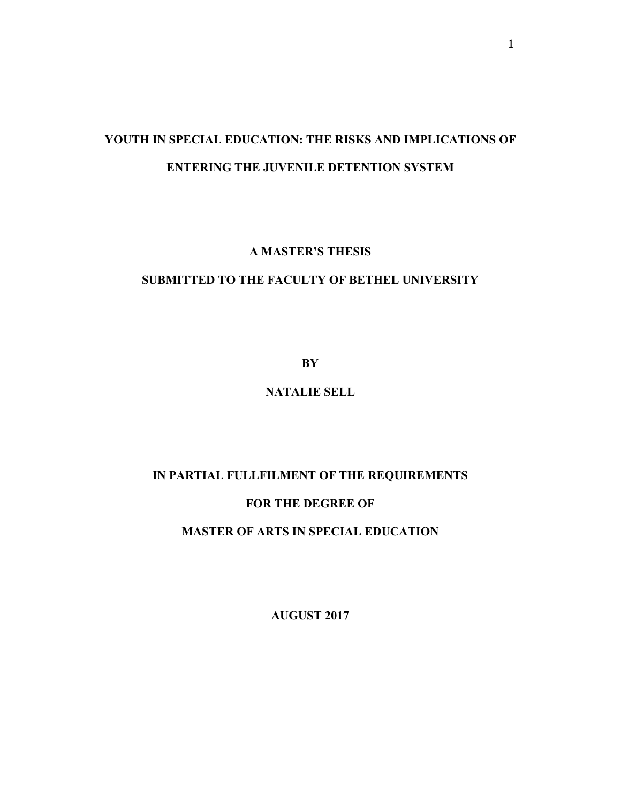## **YOUTH IN SPECIAL EDUCATION: THE RISKS AND IMPLICATIONS OF ENTERING THE JUVENILE DETENTION SYSTEM**

### **A MASTER'S THESIS**

### **SUBMITTED TO THE FACULTY OF BETHEL UNIVERSITY**

**BY**

## **NATALIE SELL**

## **IN PARTIAL FULLFILMENT OF THE REQUIREMENTS**

## **FOR THE DEGREE OF**

## **MASTER OF ARTS IN SPECIAL EDUCATION**

**AUGUST 2017**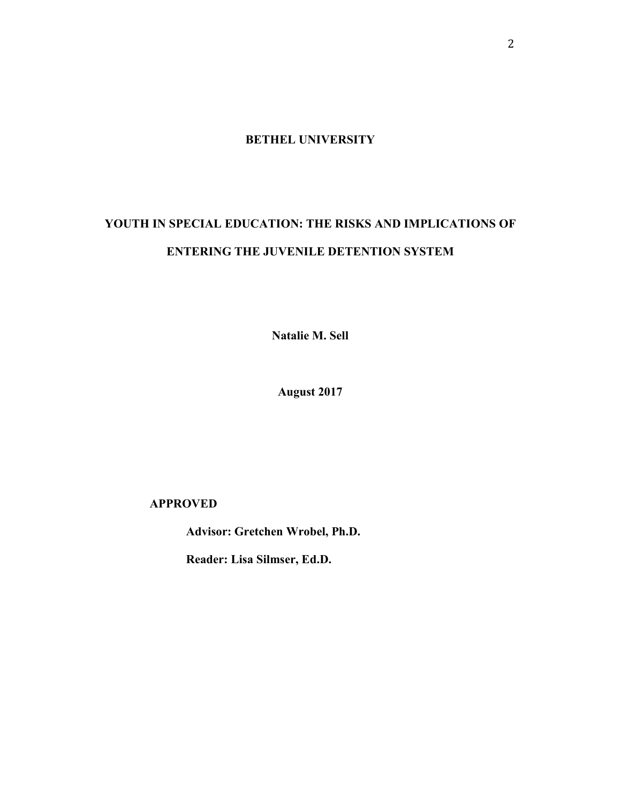**BETHEL UNIVERSITY** 

## **YOUTH IN SPECIAL EDUCATION: THE RISKS AND IMPLICATIONS OF ENTERING THE JUVENILE DETENTION SYSTEM**

**Natalie M. Sell** 

**August 2017** 

 **APPROVED**

 **Advisor: Gretchen Wrobel, Ph.D.**

 **Reader: Lisa Silmser, Ed.D.**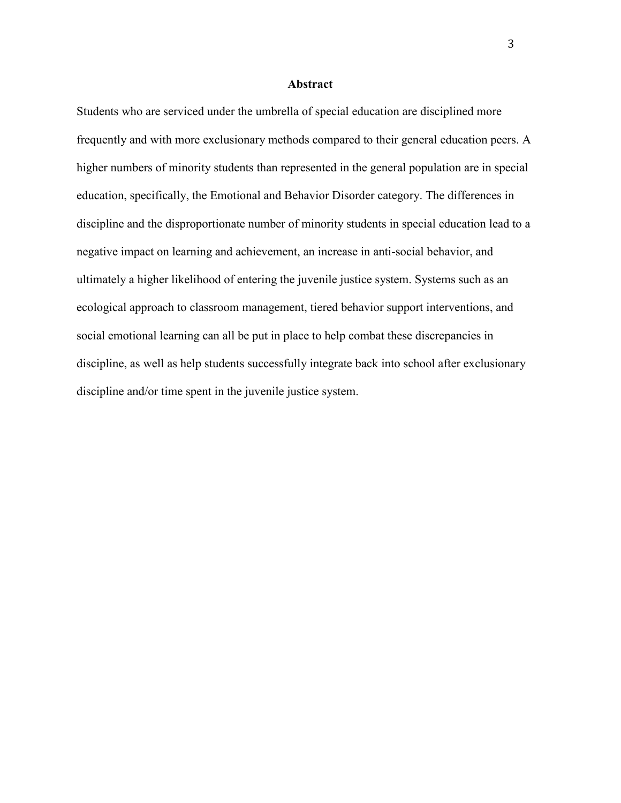#### **Abstract**

Students who are serviced under the umbrella of special education are disciplined more frequently and with more exclusionary methods compared to their general education peers. A higher numbers of minority students than represented in the general population are in special education, specifically, the Emotional and Behavior Disorder category. The differences in discipline and the disproportionate number of minority students in special education lead to a negative impact on learning and achievement, an increase in anti-social behavior, and ultimately a higher likelihood of entering the juvenile justice system. Systems such as an ecological approach to classroom management, tiered behavior support interventions, and social emotional learning can all be put in place to help combat these discrepancies in discipline, as well as help students successfully integrate back into school after exclusionary discipline and/or time spent in the juvenile justice system.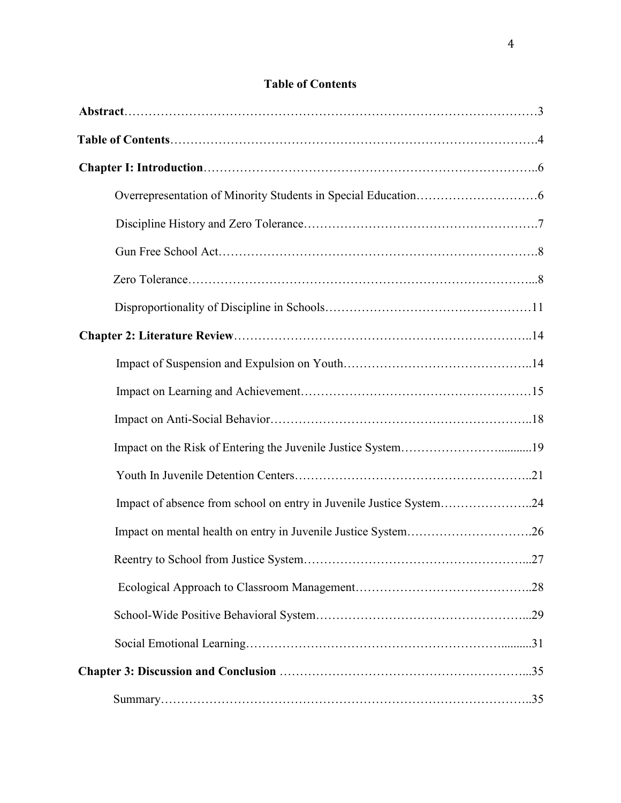|  | <b>Table of Contents</b> |
|--|--------------------------|
|  |                          |

| Impact of absence from school on entry in Juvenile Justice System24 |  |
|---------------------------------------------------------------------|--|
| Impact on mental health on entry in Juvenile Justice System26       |  |
|                                                                     |  |
|                                                                     |  |
|                                                                     |  |
|                                                                     |  |
|                                                                     |  |
|                                                                     |  |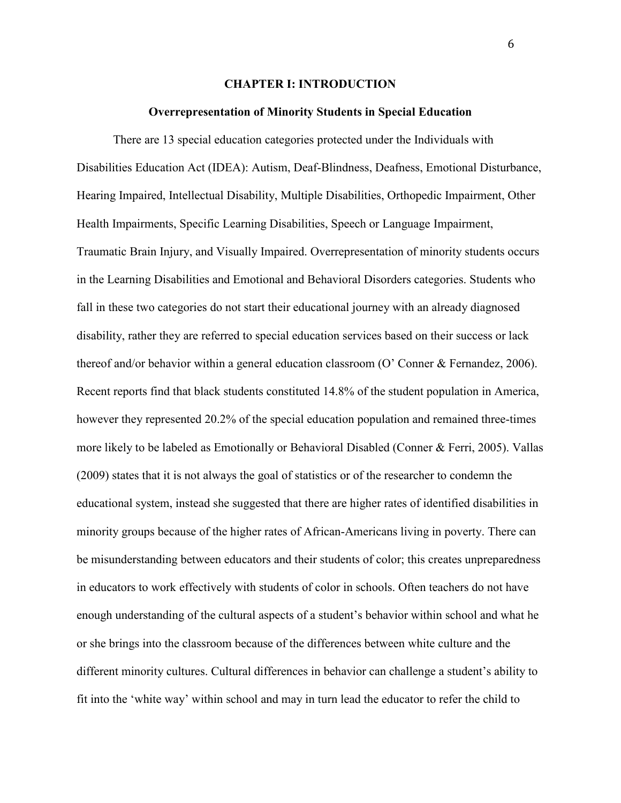#### **CHAPTER I: INTRODUCTION**

#### **Overrepresentation of Minority Students in Special Education**

There are 13 special education categories protected under the Individuals with Disabilities Education Act (IDEA): Autism, Deaf-Blindness, Deafness, Emotional Disturbance, Hearing Impaired, Intellectual Disability, Multiple Disabilities, Orthopedic Impairment, Other Health Impairments, Specific Learning Disabilities, Speech or Language Impairment, Traumatic Brain Injury, and Visually Impaired. Overrepresentation of minority students occurs in the Learning Disabilities and Emotional and Behavioral Disorders categories. Students who fall in these two categories do not start their educational journey with an already diagnosed disability, rather they are referred to special education services based on their success or lack thereof and/or behavior within a general education classroom (O' Conner & Fernandez, 2006). Recent reports find that black students constituted 14.8% of the student population in America, however they represented 20.2% of the special education population and remained three-times more likely to be labeled as Emotionally or Behavioral Disabled (Conner & Ferri, 2005). Vallas (2009) states that it is not always the goal of statistics or of the researcher to condemn the educational system, instead she suggested that there are higher rates of identified disabilities in minority groups because of the higher rates of African-Americans living in poverty. There can be misunderstanding between educators and their students of color; this creates unpreparedness in educators to work effectively with students of color in schools. Often teachers do not have enough understanding of the cultural aspects of a student's behavior within school and what he or she brings into the classroom because of the differences between white culture and the different minority cultures. Cultural differences in behavior can challenge a student's ability to fit into the 'white way' within school and may in turn lead the educator to refer the child to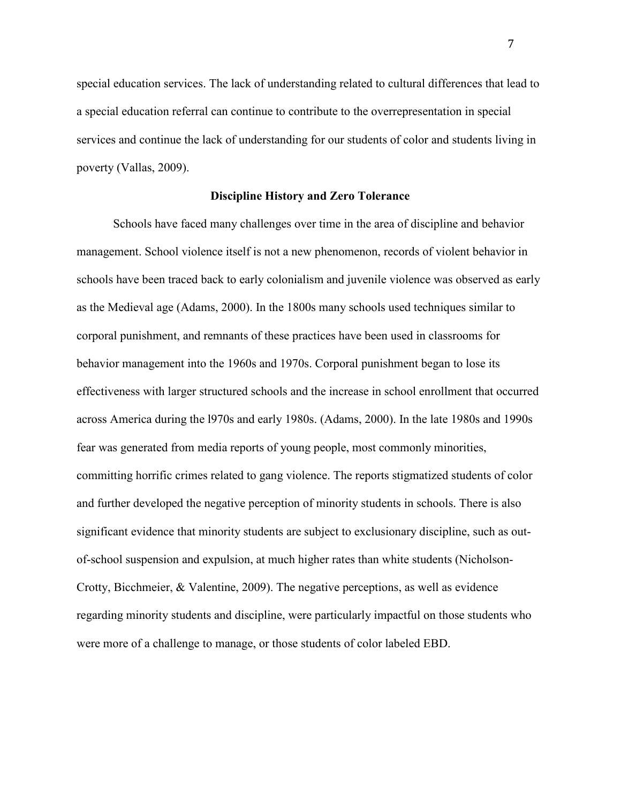special education services. The lack of understanding related to cultural differences that lead to a special education referral can continue to contribute to the overrepresentation in special services and continue the lack of understanding for our students of color and students living in poverty (Vallas, 2009).

#### **Discipline History and Zero Tolerance**

 Schools have faced many challenges over time in the area of discipline and behavior management. School violence itself is not a new phenomenon, records of violent behavior in schools have been traced back to early colonialism and juvenile violence was observed as early as the Medieval age (Adams, 2000). In the 1800s many schools used techniques similar to corporal punishment, and remnants of these practices have been used in classrooms for behavior management into the 1960s and 1970s. Corporal punishment began to lose its effectiveness with larger structured schools and the increase in school enrollment that occurred across America during the l970s and early 1980s. (Adams, 2000). In the late 1980s and 1990s fear was generated from media reports of young people, most commonly minorities, committing horrific crimes related to gang violence. The reports stigmatized students of color and further developed the negative perception of minority students in schools. There is also significant evidence that minority students are subject to exclusionary discipline, such as outof-school suspension and expulsion, at much higher rates than white students (Nicholson-Crotty, Bicchmeier, & Valentine, 2009). The negative perceptions, as well as evidence regarding minority students and discipline, were particularly impactful on those students who were more of a challenge to manage, or those students of color labeled EBD.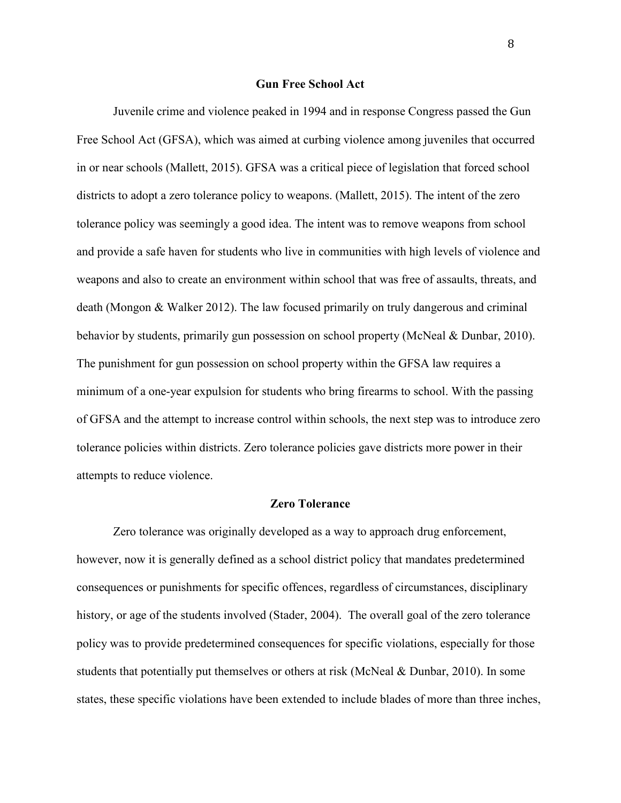#### **Gun Free School Act**

 Juvenile crime and violence peaked in 1994 and in response Congress passed the Gun Free School Act (GFSA), which was aimed at curbing violence among juveniles that occurred in or near schools (Mallett, 2015). GFSA was a critical piece of legislation that forced school districts to adopt a zero tolerance policy to weapons. (Mallett, 2015). The intent of the zero tolerance policy was seemingly a good idea. The intent was to remove weapons from school and provide a safe haven for students who live in communities with high levels of violence and weapons and also to create an environment within school that was free of assaults, threats, and death (Mongon & Walker 2012). The law focused primarily on truly dangerous and criminal behavior by students, primarily gun possession on school property (McNeal & Dunbar, 2010). The punishment for gun possession on school property within the GFSA law requires a minimum of a one-year expulsion for students who bring firearms to school. With the passing of GFSA and the attempt to increase control within schools, the next step was to introduce zero tolerance policies within districts. Zero tolerance policies gave districts more power in their attempts to reduce violence.

#### **Zero Tolerance**

Zero tolerance was originally developed as a way to approach drug enforcement, however, now it is generally defined as a school district policy that mandates predetermined consequences or punishments for specific offences, regardless of circumstances, disciplinary history, or age of the students involved (Stader, 2004). The overall goal of the zero tolerance policy was to provide predetermined consequences for specific violations, especially for those students that potentially put themselves or others at risk (McNeal & Dunbar, 2010). In some states, these specific violations have been extended to include blades of more than three inches,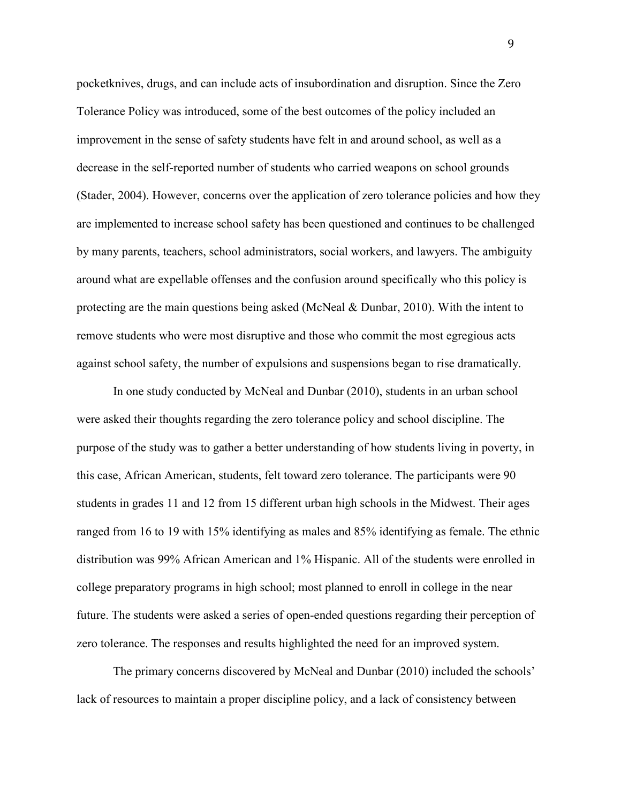pocketknives, drugs, and can include acts of insubordination and disruption. Since the Zero Tolerance Policy was introduced, some of the best outcomes of the policy included an improvement in the sense of safety students have felt in and around school, as well as a decrease in the self-reported number of students who carried weapons on school grounds (Stader, 2004). However, concerns over the application of zero tolerance policies and how they are implemented to increase school safety has been questioned and continues to be challenged by many parents, teachers, school administrators, social workers, and lawyers. The ambiguity around what are expellable offenses and the confusion around specifically who this policy is protecting are the main questions being asked (McNeal & Dunbar, 2010). With the intent to remove students who were most disruptive and those who commit the most egregious acts against school safety, the number of expulsions and suspensions began to rise dramatically.

 In one study conducted by McNeal and Dunbar (2010), students in an urban school were asked their thoughts regarding the zero tolerance policy and school discipline. The purpose of the study was to gather a better understanding of how students living in poverty, in this case, African American, students, felt toward zero tolerance. The participants were 90 students in grades 11 and 12 from 15 different urban high schools in the Midwest. Their ages ranged from 16 to 19 with 15% identifying as males and 85% identifying as female. The ethnic distribution was 99% African American and 1% Hispanic. All of the students were enrolled in college preparatory programs in high school; most planned to enroll in college in the near future. The students were asked a series of open-ended questions regarding their perception of zero tolerance. The responses and results highlighted the need for an improved system.

The primary concerns discovered by McNeal and Dunbar (2010) included the schools' lack of resources to maintain a proper discipline policy, and a lack of consistency between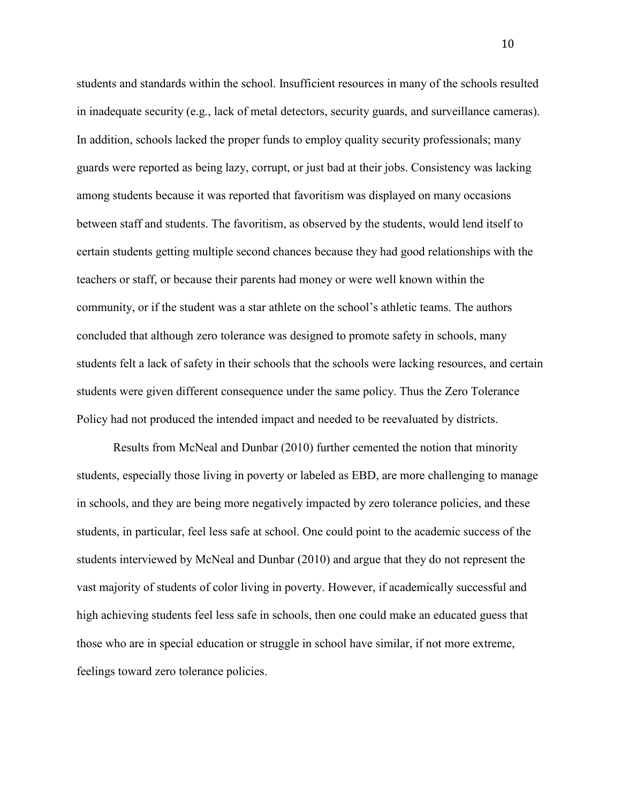students and standards within the school. Insufficient resources in many of the schools resulted in inadequate security (e.g., lack of metal detectors, security guards, and surveillance cameras). In addition, schools lacked the proper funds to employ quality security professionals; many guards were reported as being lazy, corrupt, or just bad at their jobs. Consistency was lacking among students because it was reported that favoritism was displayed on many occasions between staff and students. The favoritism, as observed by the students, would lend itself to certain students getting multiple second chances because they had good relationships with the teachers or staff, or because their parents had money or were well known within the community, or if the student was a star athlete on the school's athletic teams. The authors concluded that although zero tolerance was designed to promote safety in schools, many students felt a lack of safety in their schools that the schools were lacking resources, and certain students were given different consequence under the same policy. Thus the Zero Tolerance Policy had not produced the intended impact and needed to be reevaluated by districts.

 Results from McNeal and Dunbar (2010) further cemented the notion that minority students, especially those living in poverty or labeled as EBD, are more challenging to manage in schools, and they are being more negatively impacted by zero tolerance policies, and these students, in particular, feel less safe at school. One could point to the academic success of the students interviewed by McNeal and Dunbar (2010) and argue that they do not represent the vast majority of students of color living in poverty. However, if academically successful and high achieving students feel less safe in schools, then one could make an educated guess that those who are in special education or struggle in school have similar, if not more extreme, feelings toward zero tolerance policies.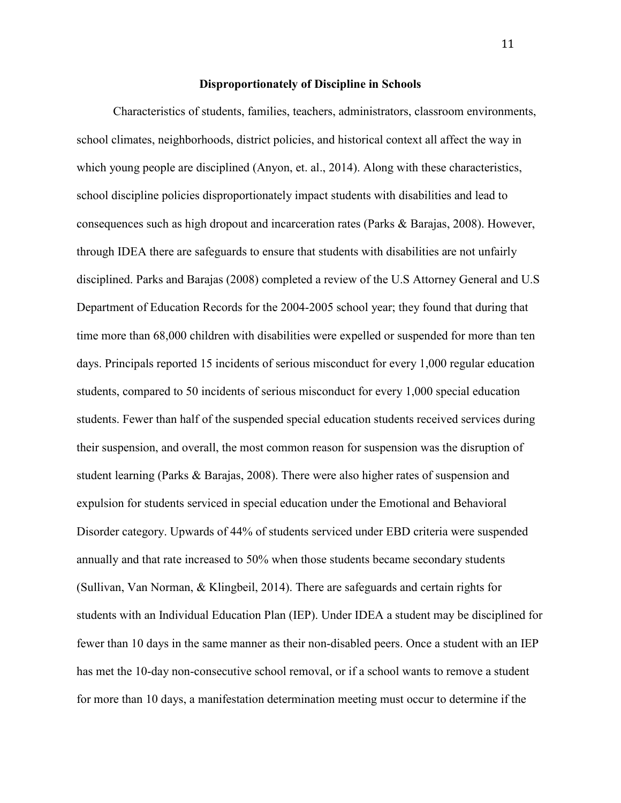#### **Disproportionately of Discipline in Schools**

 Characteristics of students, families, teachers, administrators, classroom environments, school climates, neighborhoods, district policies, and historical context all affect the way in which young people are disciplined (Anyon, et. al., 2014). Along with these characteristics, school discipline policies disproportionately impact students with disabilities and lead to consequences such as high dropout and incarceration rates (Parks & Barajas, 2008). However, through IDEA there are safeguards to ensure that students with disabilities are not unfairly disciplined. Parks and Barajas (2008) completed a review of the U.S Attorney General and U.S Department of Education Records for the 2004-2005 school year; they found that during that time more than 68,000 children with disabilities were expelled or suspended for more than ten days. Principals reported 15 incidents of serious misconduct for every 1,000 regular education students, compared to 50 incidents of serious misconduct for every 1,000 special education students. Fewer than half of the suspended special education students received services during their suspension, and overall, the most common reason for suspension was the disruption of student learning (Parks & Barajas, 2008). There were also higher rates of suspension and expulsion for students serviced in special education under the Emotional and Behavioral Disorder category. Upwards of 44% of students serviced under EBD criteria were suspended annually and that rate increased to 50% when those students became secondary students (Sullivan, Van Norman, & Klingbeil, 2014). There are safeguards and certain rights for students with an Individual Education Plan (IEP). Under IDEA a student may be disciplined for fewer than 10 days in the same manner as their non-disabled peers. Once a student with an IEP has met the 10-day non-consecutive school removal, or if a school wants to remove a student for more than 10 days, a manifestation determination meeting must occur to determine if the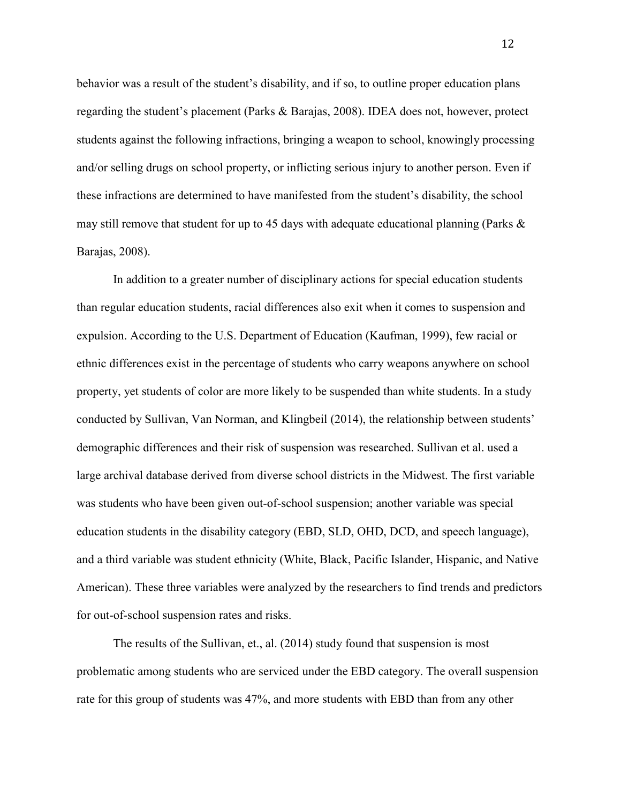behavior was a result of the student's disability, and if so, to outline proper education plans regarding the student's placement (Parks & Barajas, 2008). IDEA does not, however, protect students against the following infractions, bringing a weapon to school, knowingly processing and/or selling drugs on school property, or inflicting serious injury to another person. Even if these infractions are determined to have manifested from the student's disability, the school may still remove that student for up to 45 days with adequate educational planning (Parks & Barajas, 2008).

In addition to a greater number of disciplinary actions for special education students than regular education students, racial differences also exit when it comes to suspension and expulsion. According to the U.S. Department of Education (Kaufman, 1999), few racial or ethnic differences exist in the percentage of students who carry weapons anywhere on school property, yet students of color are more likely to be suspended than white students. In a study conducted by Sullivan, Van Norman, and Klingbeil (2014), the relationship between students' demographic differences and their risk of suspension was researched. Sullivan et al. used a large archival database derived from diverse school districts in the Midwest. The first variable was students who have been given out-of-school suspension; another variable was special education students in the disability category (EBD, SLD, OHD, DCD, and speech language), and a third variable was student ethnicity (White, Black, Pacific Islander, Hispanic, and Native American). These three variables were analyzed by the researchers to find trends and predictors for out-of-school suspension rates and risks.

 The results of the Sullivan, et., al. (2014) study found that suspension is most problematic among students who are serviced under the EBD category. The overall suspension rate for this group of students was 47%, and more students with EBD than from any other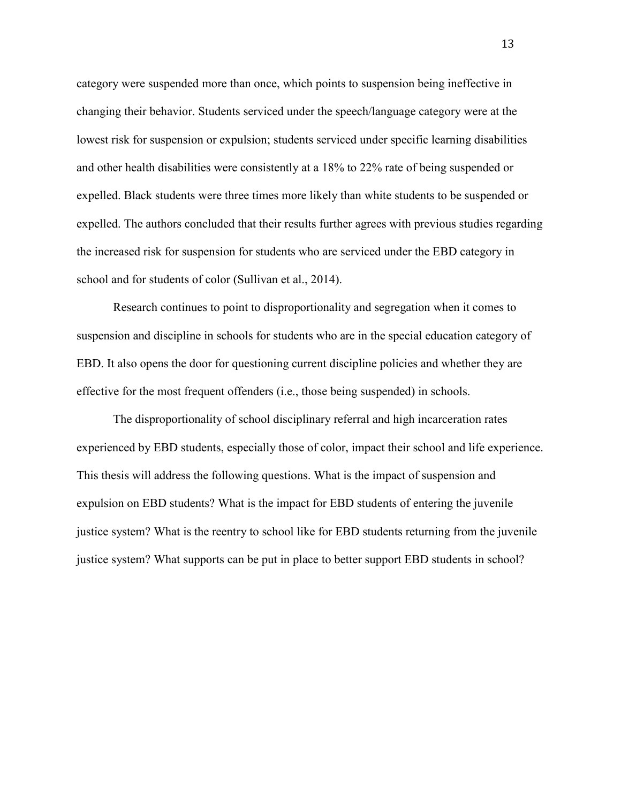category were suspended more than once, which points to suspension being ineffective in changing their behavior. Students serviced under the speech/language category were at the lowest risk for suspension or expulsion; students serviced under specific learning disabilities and other health disabilities were consistently at a 18% to 22% rate of being suspended or expelled. Black students were three times more likely than white students to be suspended or expelled. The authors concluded that their results further agrees with previous studies regarding the increased risk for suspension for students who are serviced under the EBD category in school and for students of color (Sullivan et al., 2014).

 Research continues to point to disproportionality and segregation when it comes to suspension and discipline in schools for students who are in the special education category of EBD. It also opens the door for questioning current discipline policies and whether they are effective for the most frequent offenders (i.e., those being suspended) in schools.

 The disproportionality of school disciplinary referral and high incarceration rates experienced by EBD students, especially those of color, impact their school and life experience. This thesis will address the following questions. What is the impact of suspension and expulsion on EBD students? What is the impact for EBD students of entering the juvenile justice system? What is the reentry to school like for EBD students returning from the juvenile justice system? What supports can be put in place to better support EBD students in school?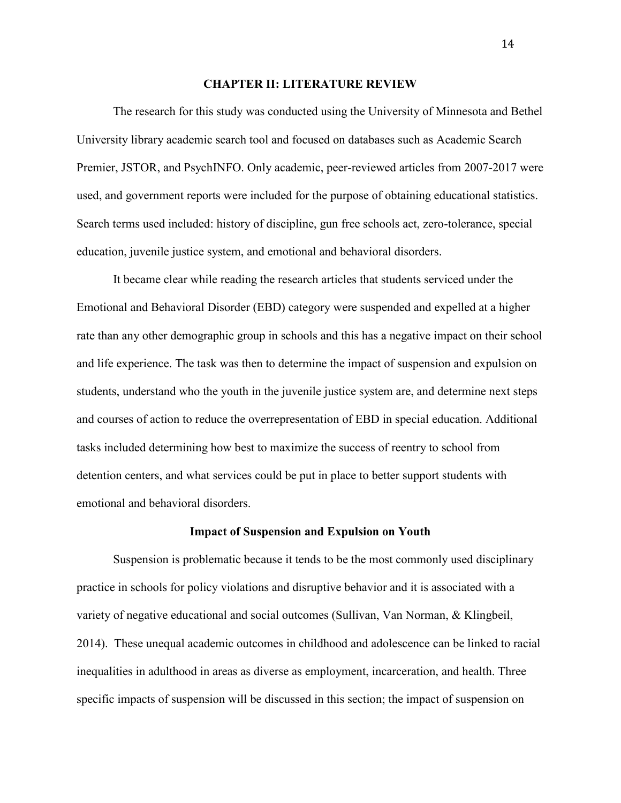#### **CHAPTER II: LITERATURE REVIEW**

 The research for this study was conducted using the University of Minnesota and Bethel University library academic search tool and focused on databases such as Academic Search Premier, JSTOR, and PsychINFO. Only academic, peer-reviewed articles from 2007-2017 were used, and government reports were included for the purpose of obtaining educational statistics. Search terms used included: history of discipline, gun free schools act, zero-tolerance, special education, juvenile justice system, and emotional and behavioral disorders.

It became clear while reading the research articles that students serviced under the Emotional and Behavioral Disorder (EBD) category were suspended and expelled at a higher rate than any other demographic group in schools and this has a negative impact on their school and life experience. The task was then to determine the impact of suspension and expulsion on students, understand who the youth in the juvenile justice system are, and determine next steps and courses of action to reduce the overrepresentation of EBD in special education. Additional tasks included determining how best to maximize the success of reentry to school from detention centers, and what services could be put in place to better support students with emotional and behavioral disorders.

#### **Impact of Suspension and Expulsion on Youth**

 Suspension is problematic because it tends to be the most commonly used disciplinary practice in schools for policy violations and disruptive behavior and it is associated with a variety of negative educational and social outcomes (Sullivan, Van Norman, & Klingbeil, 2014). These unequal academic outcomes in childhood and adolescence can be linked to racial inequalities in adulthood in areas as diverse as employment, incarceration, and health. Three specific impacts of suspension will be discussed in this section; the impact of suspension on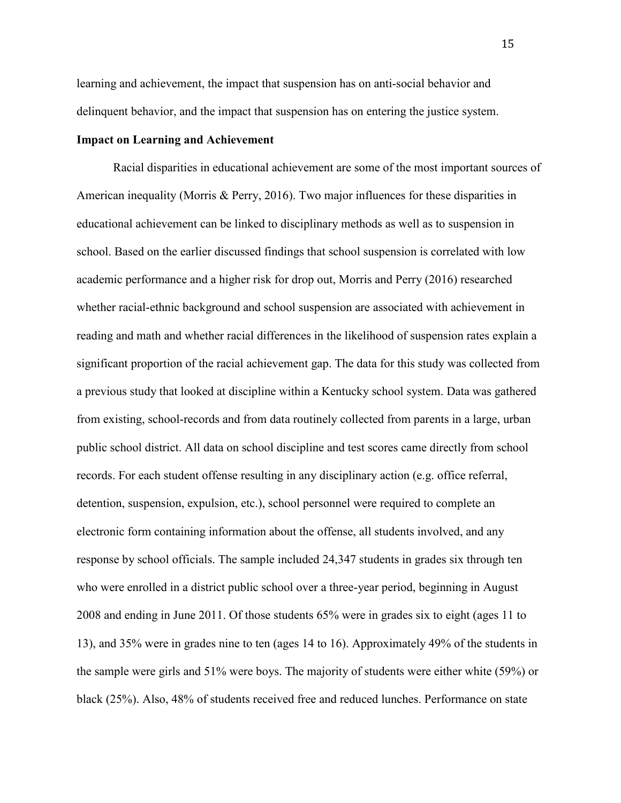learning and achievement, the impact that suspension has on anti-social behavior and delinquent behavior, and the impact that suspension has on entering the justice system.

#### **Impact on Learning and Achievement**

Racial disparities in educational achievement are some of the most important sources of American inequality (Morris & Perry, 2016). Two major influences for these disparities in educational achievement can be linked to disciplinary methods as well as to suspension in school. Based on the earlier discussed findings that school suspension is correlated with low academic performance and a higher risk for drop out, Morris and Perry (2016) researched whether racial-ethnic background and school suspension are associated with achievement in reading and math and whether racial differences in the likelihood of suspension rates explain a significant proportion of the racial achievement gap. The data for this study was collected from a previous study that looked at discipline within a Kentucky school system. Data was gathered from existing, school-records and from data routinely collected from parents in a large, urban public school district. All data on school discipline and test scores came directly from school records. For each student offense resulting in any disciplinary action (e.g. office referral, detention, suspension, expulsion, etc.), school personnel were required to complete an electronic form containing information about the offense, all students involved, and any response by school officials. The sample included 24,347 students in grades six through ten who were enrolled in a district public school over a three-year period, beginning in August 2008 and ending in June 2011. Of those students 65% were in grades six to eight (ages 11 to 13), and 35% were in grades nine to ten (ages 14 to 16). Approximately 49% of the students in the sample were girls and 51% were boys. The majority of students were either white (59%) or black (25%). Also, 48% of students received free and reduced lunches. Performance on state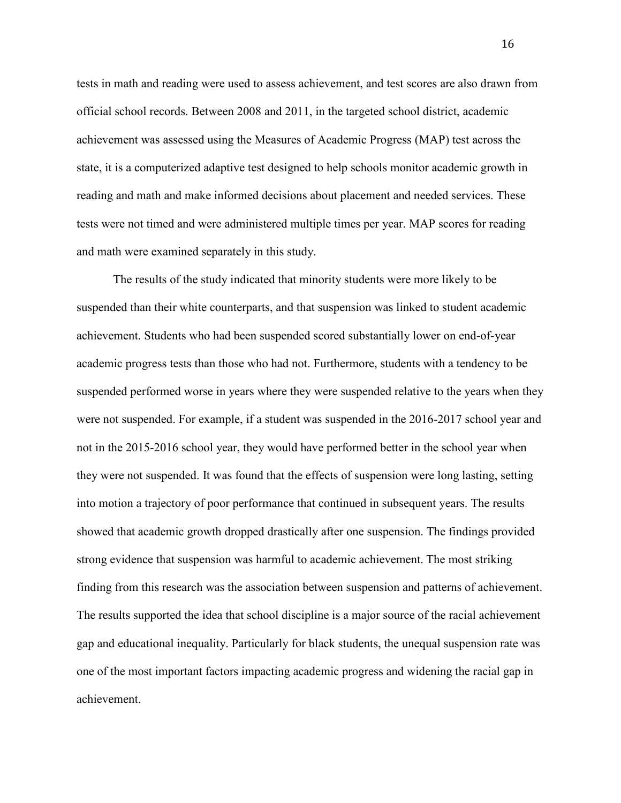tests in math and reading were used to assess achievement, and test scores are also drawn from official school records. Between 2008 and 2011, in the targeted school district, academic achievement was assessed using the Measures of Academic Progress (MAP) test across the state, it is a computerized adaptive test designed to help schools monitor academic growth in reading and math and make informed decisions about placement and needed services. These tests were not timed and were administered multiple times per year. MAP scores for reading and math were examined separately in this study.

The results of the study indicated that minority students were more likely to be suspended than their white counterparts, and that suspension was linked to student academic achievement. Students who had been suspended scored substantially lower on end-of-year academic progress tests than those who had not. Furthermore, students with a tendency to be suspended performed worse in years where they were suspended relative to the years when they were not suspended. For example, if a student was suspended in the 2016-2017 school year and not in the 2015-2016 school year, they would have performed better in the school year when they were not suspended. It was found that the effects of suspension were long lasting, setting into motion a trajectory of poor performance that continued in subsequent years. The results showed that academic growth dropped drastically after one suspension. The findings provided strong evidence that suspension was harmful to academic achievement. The most striking finding from this research was the association between suspension and patterns of achievement. The results supported the idea that school discipline is a major source of the racial achievement gap and educational inequality. Particularly for black students, the unequal suspension rate was one of the most important factors impacting academic progress and widening the racial gap in achievement.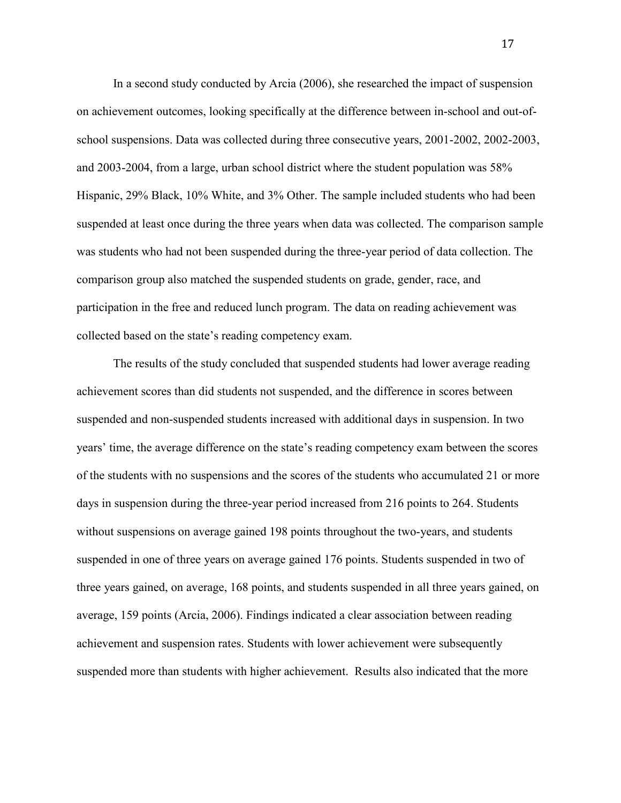In a second study conducted by Arcia (2006), she researched the impact of suspension on achievement outcomes, looking specifically at the difference between in-school and out-ofschool suspensions. Data was collected during three consecutive years, 2001-2002, 2002-2003, and 2003-2004, from a large, urban school district where the student population was 58% Hispanic, 29% Black, 10% White, and 3% Other. The sample included students who had been suspended at least once during the three years when data was collected. The comparison sample was students who had not been suspended during the three-year period of data collection. The comparison group also matched the suspended students on grade, gender, race, and participation in the free and reduced lunch program. The data on reading achievement was collected based on the state's reading competency exam.

The results of the study concluded that suspended students had lower average reading achievement scores than did students not suspended, and the difference in scores between suspended and non-suspended students increased with additional days in suspension. In two years' time, the average difference on the state's reading competency exam between the scores of the students with no suspensions and the scores of the students who accumulated 21 or more days in suspension during the three-year period increased from 216 points to 264. Students without suspensions on average gained 198 points throughout the two-years, and students suspended in one of three years on average gained 176 points. Students suspended in two of three years gained, on average, 168 points, and students suspended in all three years gained, on average, 159 points (Arcia, 2006). Findings indicated a clear association between reading achievement and suspension rates. Students with lower achievement were subsequently suspended more than students with higher achievement. Results also indicated that the more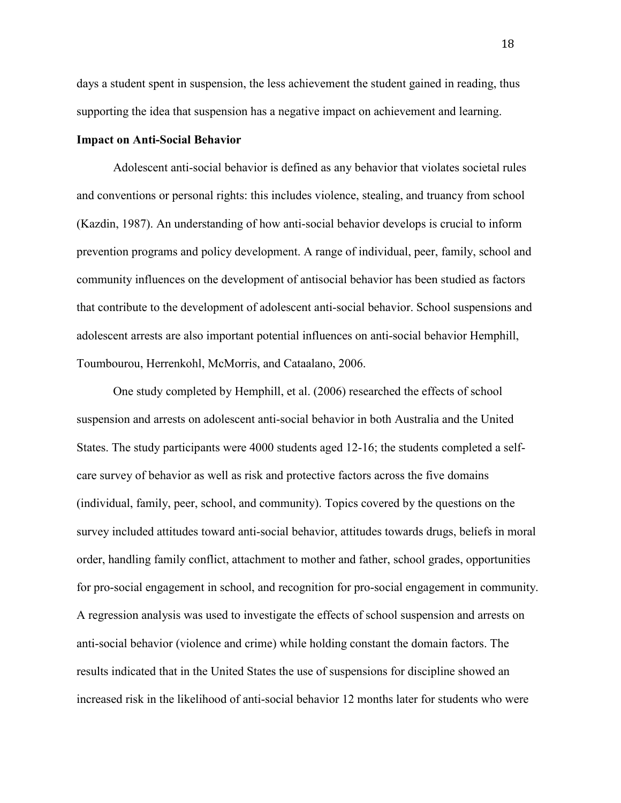days a student spent in suspension, the less achievement the student gained in reading, thus supporting the idea that suspension has a negative impact on achievement and learning.

#### **Impact on Anti-Social Behavior**

Adolescent anti-social behavior is defined as any behavior that violates societal rules and conventions or personal rights: this includes violence, stealing, and truancy from school (Kazdin, 1987). An understanding of how anti-social behavior develops is crucial to inform prevention programs and policy development. A range of individual, peer, family, school and community influences on the development of antisocial behavior has been studied as factors that contribute to the development of adolescent anti-social behavior. School suspensions and adolescent arrests are also important potential influences on anti-social behavior Hemphill, Toumbourou, Herrenkohl, McMorris, and Cataalano, 2006.

One study completed by Hemphill, et al. (2006) researched the effects of school suspension and arrests on adolescent anti-social behavior in both Australia and the United States. The study participants were 4000 students aged 12-16; the students completed a selfcare survey of behavior as well as risk and protective factors across the five domains (individual, family, peer, school, and community). Topics covered by the questions on the survey included attitudes toward anti-social behavior, attitudes towards drugs, beliefs in moral order, handling family conflict, attachment to mother and father, school grades, opportunities for pro-social engagement in school, and recognition for pro-social engagement in community. A regression analysis was used to investigate the effects of school suspension and arrests on anti-social behavior (violence and crime) while holding constant the domain factors. The results indicated that in the United States the use of suspensions for discipline showed an increased risk in the likelihood of anti-social behavior 12 months later for students who were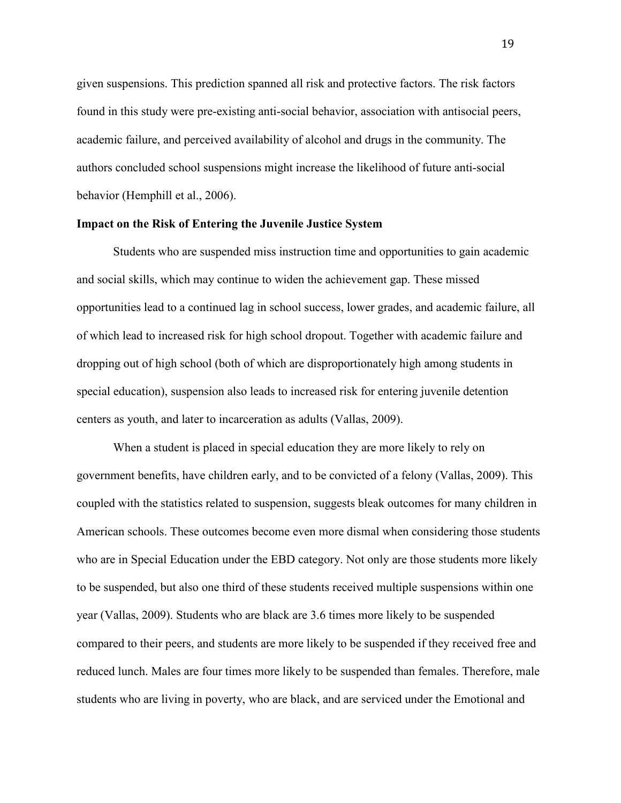given suspensions. This prediction spanned all risk and protective factors. The risk factors found in this study were pre-existing anti-social behavior, association with antisocial peers, academic failure, and perceived availability of alcohol and drugs in the community. The authors concluded school suspensions might increase the likelihood of future anti-social behavior (Hemphill et al., 2006).

#### **Impact on the Risk of Entering the Juvenile Justice System**

Students who are suspended miss instruction time and opportunities to gain academic and social skills, which may continue to widen the achievement gap. These missed opportunities lead to a continued lag in school success, lower grades, and academic failure, all of which lead to increased risk for high school dropout. Together with academic failure and dropping out of high school (both of which are disproportionately high among students in special education), suspension also leads to increased risk for entering juvenile detention centers as youth, and later to incarceration as adults (Vallas, 2009).

When a student is placed in special education they are more likely to rely on government benefits, have children early, and to be convicted of a felony (Vallas, 2009). This coupled with the statistics related to suspension, suggests bleak outcomes for many children in American schools. These outcomes become even more dismal when considering those students who are in Special Education under the EBD category. Not only are those students more likely to be suspended, but also one third of these students received multiple suspensions within one year (Vallas, 2009). Students who are black are 3.6 times more likely to be suspended compared to their peers, and students are more likely to be suspended if they received free and reduced lunch. Males are four times more likely to be suspended than females. Therefore, male students who are living in poverty, who are black, and are serviced under the Emotional and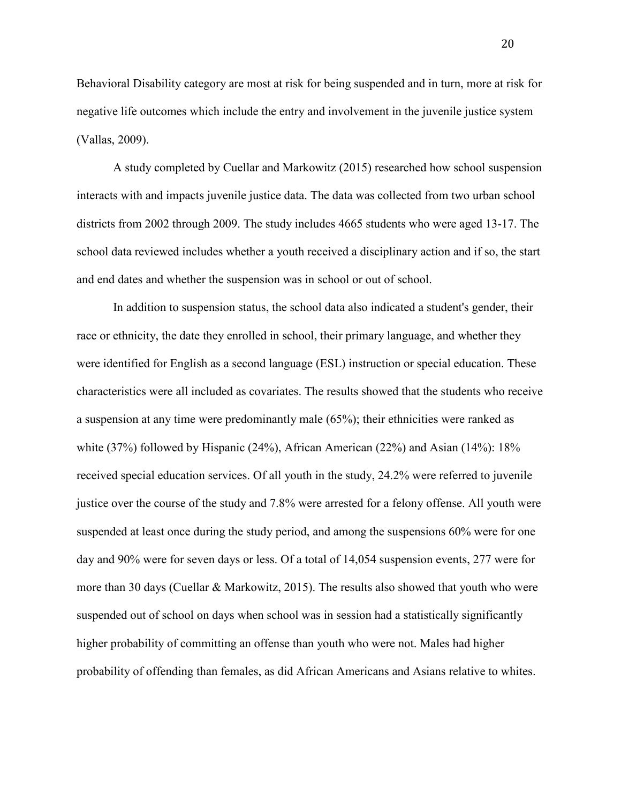Behavioral Disability category are most at risk for being suspended and in turn, more at risk for negative life outcomes which include the entry and involvement in the juvenile justice system (Vallas, 2009).

 A study completed by Cuellar and Markowitz (2015) researched how school suspension interacts with and impacts juvenile justice data. The data was collected from two urban school districts from 2002 through 2009. The study includes 4665 students who were aged 13-17. The school data reviewed includes whether a youth received a disciplinary action and if so, the start and end dates and whether the suspension was in school or out of school.

 In addition to suspension status, the school data also indicated a student's gender, their race or ethnicity, the date they enrolled in school, their primary language, and whether they were identified for English as a second language (ESL) instruction or special education. These characteristics were all included as covariates. The results showed that the students who receive a suspension at any time were predominantly male (65%); their ethnicities were ranked as white (37%) followed by Hispanic (24%), African American (22%) and Asian (14%): 18% received special education services. Of all youth in the study, 24.2% were referred to juvenile justice over the course of the study and 7.8% were arrested for a felony offense. All youth were suspended at least once during the study period, and among the suspensions 60% were for one day and 90% were for seven days or less. Of a total of 14,054 suspension events, 277 were for more than 30 days (Cuellar & Markowitz, 2015). The results also showed that youth who were suspended out of school on days when school was in session had a statistically significantly higher probability of committing an offense than youth who were not. Males had higher probability of offending than females, as did African Americans and Asians relative to whites.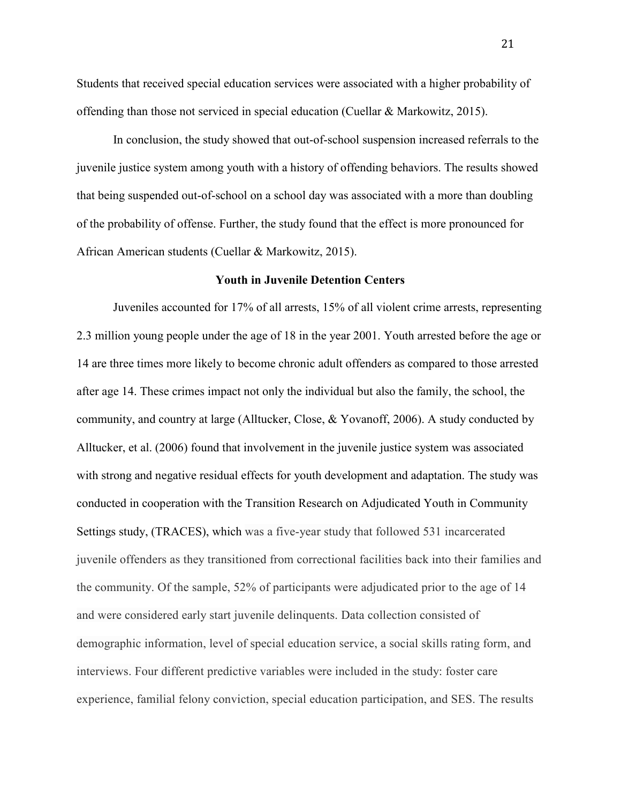Students that received special education services were associated with a higher probability of offending than those not serviced in special education (Cuellar & Markowitz, 2015).

In conclusion, the study showed that out-of-school suspension increased referrals to the juvenile justice system among youth with a history of offending behaviors. The results showed that being suspended out-of-school on a school day was associated with a more than doubling of the probability of offense. Further, the study found that the effect is more pronounced for African American students (Cuellar & Markowitz, 2015).

#### **Youth in Juvenile Detention Centers**

 Juveniles accounted for 17% of all arrests, 15% of all violent crime arrests, representing 2.3 million young people under the age of 18 in the year 2001. Youth arrested before the age or 14 are three times more likely to become chronic adult offenders as compared to those arrested after age 14. These crimes impact not only the individual but also the family, the school, the community, and country at large (Alltucker, Close, & Yovanoff, 2006). A study conducted by Alltucker, et al. (2006) found that involvement in the juvenile justice system was associated with strong and negative residual effects for youth development and adaptation. The study was conducted in cooperation with the Transition Research on Adjudicated Youth in Community Settings study, (TRACES), which was a five-year study that followed 531 incarcerated juvenile offenders as they transitioned from correctional facilities back into their families and the community. Of the sample, 52% of participants were adjudicated prior to the age of 14 and were considered early start juvenile delinquents. Data collection consisted of demographic information, level of special education service, a social skills rating form, and interviews. Four different predictive variables were included in the study: foster care experience, familial felony conviction, special education participation, and SES. The results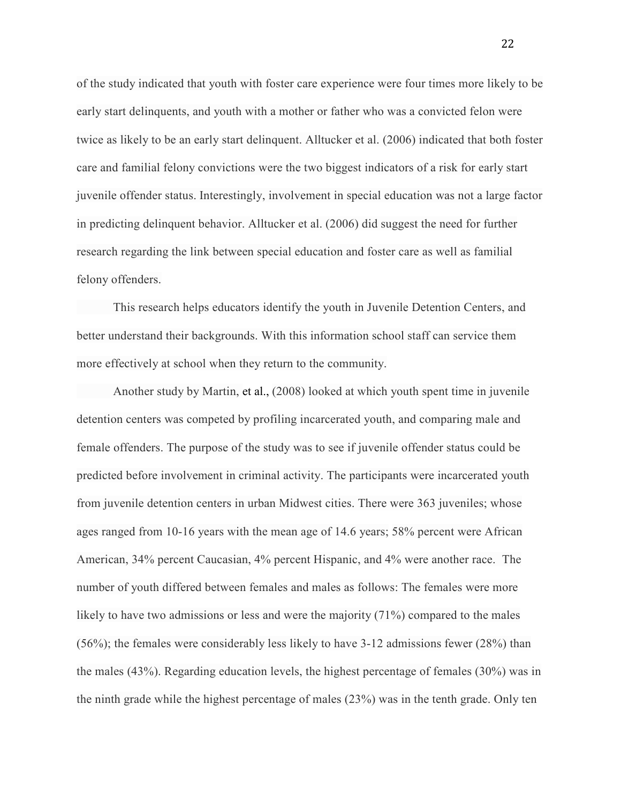of the study indicated that youth with foster care experience were four times more likely to be early start delinquents, and youth with a mother or father who was a convicted felon were twice as likely to be an early start delinquent. Alltucker et al. (2006) indicated that both foster care and familial felony convictions were the two biggest indicators of a risk for early start juvenile offender status. Interestingly, involvement in special education was not a large factor in predicting delinquent behavior. Alltucker et al. (2006) did suggest the need for further research regarding the link between special education and foster care as well as familial felony offenders.

 This research helps educators identify the youth in Juvenile Detention Centers, and better understand their backgrounds. With this information school staff can service them more effectively at school when they return to the community.

 Another study by Martin, et al., (2008) looked at which youth spent time in juvenile detention centers was competed by profiling incarcerated youth, and comparing male and female offenders. The purpose of the study was to see if juvenile offender status could be predicted before involvement in criminal activity. The participants were incarcerated youth from juvenile detention centers in urban Midwest cities. There were 363 juveniles; whose ages ranged from 10-16 years with the mean age of 14.6 years; 58% percent were African American, 34% percent Caucasian, 4% percent Hispanic, and 4% were another race. The number of youth differed between females and males as follows: The females were more likely to have two admissions or less and were the majority (71%) compared to the males (56%); the females were considerably less likely to have 3-12 admissions fewer (28%) than the males (43%). Regarding education levels, the highest percentage of females (30%) was in the ninth grade while the highest percentage of males (23%) was in the tenth grade. Only ten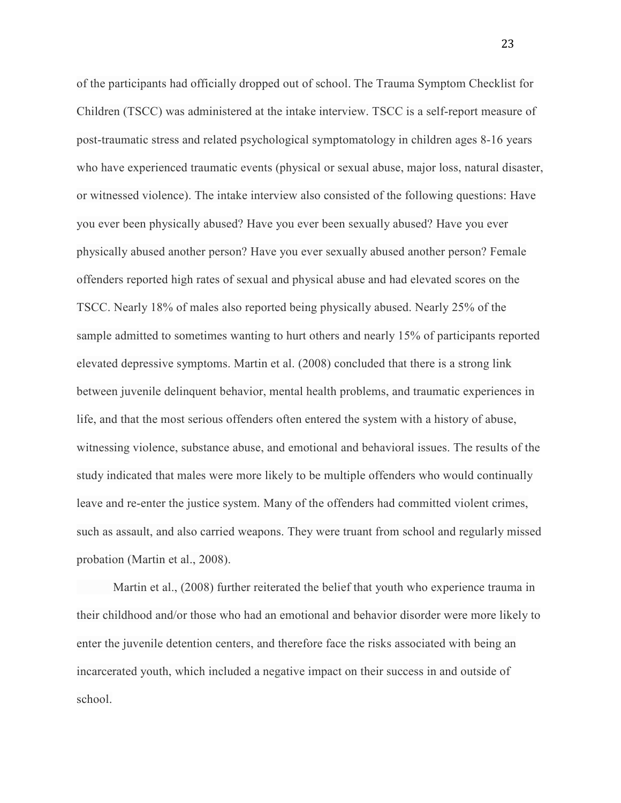of the participants had officially dropped out of school. The Trauma Symptom Checklist for Children (TSCC) was administered at the intake interview. TSCC is a self-report measure of post-traumatic stress and related psychological symptomatology in children ages 8-16 years who have experienced traumatic events (physical or sexual abuse, major loss, natural disaster, or witnessed violence). The intake interview also consisted of the following questions: Have you ever been physically abused? Have you ever been sexually abused? Have you ever physically abused another person? Have you ever sexually abused another person? Female offenders reported high rates of sexual and physical abuse and had elevated scores on the TSCC. Nearly 18% of males also reported being physically abused. Nearly 25% of the sample admitted to sometimes wanting to hurt others and nearly 15% of participants reported elevated depressive symptoms. Martin et al. (2008) concluded that there is a strong link between juvenile delinquent behavior, mental health problems, and traumatic experiences in life, and that the most serious offenders often entered the system with a history of abuse, witnessing violence, substance abuse, and emotional and behavioral issues. The results of the study indicated that males were more likely to be multiple offenders who would continually leave and re-enter the justice system. Many of the offenders had committed violent crimes, such as assault, and also carried weapons. They were truant from school and regularly missed probation (Martin et al., 2008).

Martin et al., (2008) further reiterated the belief that youth who experience trauma in their childhood and/or those who had an emotional and behavior disorder were more likely to enter the juvenile detention centers, and therefore face the risks associated with being an incarcerated youth, which included a negative impact on their success in and outside of school.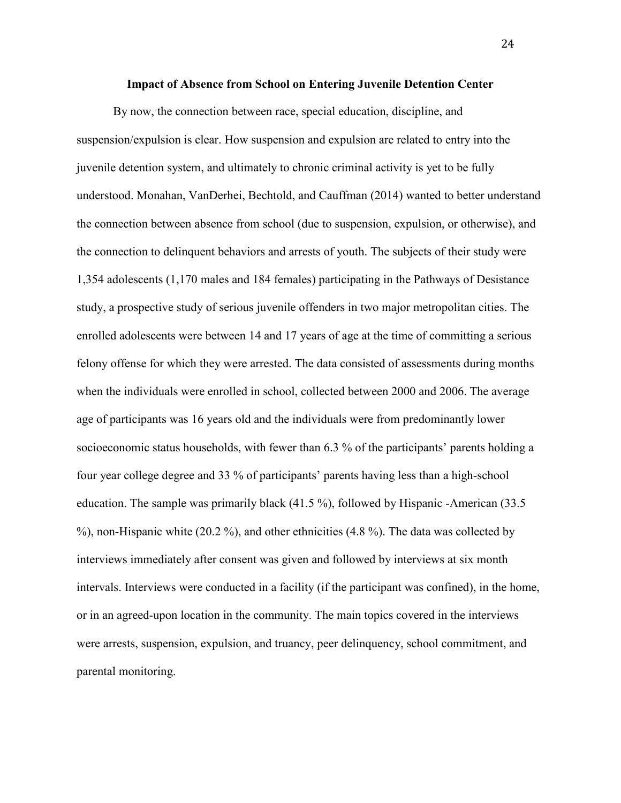#### **Impact of Absence from School on Entering Juvenile Detention Center**

By now, the connection between race, special education, discipline, and suspension/expulsion is clear. How suspension and expulsion are related to entry into the juvenile detention system, and ultimately to chronic criminal activity is yet to be fully understood. Monahan, VanDerhei, Bechtold, and Cauffman (2014) wanted to better understand the connection between absence from school (due to suspension, expulsion, or otherwise), and the connection to delinquent behaviors and arrests of youth. The subjects of their study were 1,354 adolescents (1,170 males and 184 females) participating in the Pathways of Desistance study, a prospective study of serious juvenile offenders in two major metropolitan cities. The enrolled adolescents were between 14 and 17 years of age at the time of committing a serious felony offense for which they were arrested. The data consisted of assessments during months when the individuals were enrolled in school, collected between 2000 and 2006. The average age of participants was 16 years old and the individuals were from predominantly lower socioeconomic status households, with fewer than 6.3 % of the participants' parents holding a four year college degree and 33 % of participants' parents having less than a high-school education. The sample was primarily black (41.5 %), followed by Hispanic -American (33.5 %), non-Hispanic white (20.2 %), and other ethnicities (4.8 %). The data was collected by interviews immediately after consent was given and followed by interviews at six month intervals. Interviews were conducted in a facility (if the participant was confined), in the home, or in an agreed-upon location in the community. The main topics covered in the interviews were arrests, suspension, expulsion, and truancy, peer delinquency, school commitment, and parental monitoring.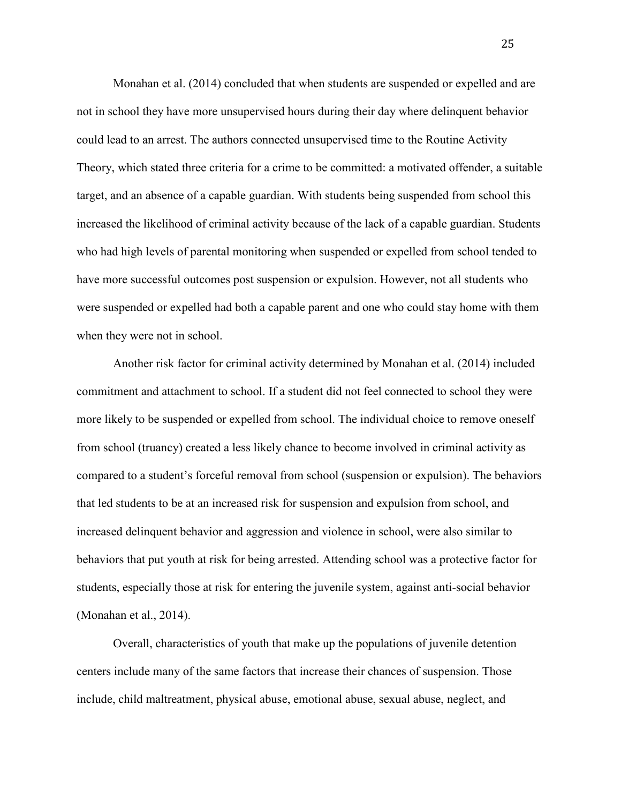Monahan et al. (2014) concluded that when students are suspended or expelled and are not in school they have more unsupervised hours during their day where delinquent behavior could lead to an arrest. The authors connected unsupervised time to the Routine Activity Theory, which stated three criteria for a crime to be committed: a motivated offender, a suitable target, and an absence of a capable guardian. With students being suspended from school this increased the likelihood of criminal activity because of the lack of a capable guardian. Students who had high levels of parental monitoring when suspended or expelled from school tended to have more successful outcomes post suspension or expulsion. However, not all students who were suspended or expelled had both a capable parent and one who could stay home with them when they were not in school.

Another risk factor for criminal activity determined by Monahan et al. (2014) included commitment and attachment to school. If a student did not feel connected to school they were more likely to be suspended or expelled from school. The individual choice to remove oneself from school (truancy) created a less likely chance to become involved in criminal activity as compared to a student's forceful removal from school (suspension or expulsion). The behaviors that led students to be at an increased risk for suspension and expulsion from school, and increased delinquent behavior and aggression and violence in school, were also similar to behaviors that put youth at risk for being arrested. Attending school was a protective factor for students, especially those at risk for entering the juvenile system, against anti-social behavior (Monahan et al., 2014).

Overall, characteristics of youth that make up the populations of juvenile detention centers include many of the same factors that increase their chances of suspension. Those include, child maltreatment, physical abuse, emotional abuse, sexual abuse, neglect, and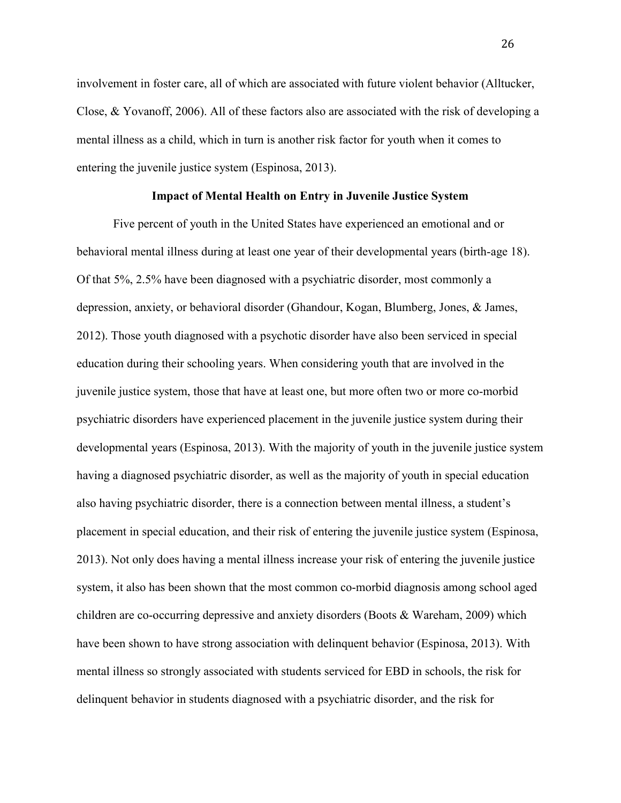involvement in foster care, all of which are associated with future violent behavior (Alltucker, Close, & Yovanoff, 2006). All of these factors also are associated with the risk of developing a mental illness as a child, which in turn is another risk factor for youth when it comes to entering the juvenile justice system (Espinosa, 2013).

#### **Impact of Mental Health on Entry in Juvenile Justice System**

Five percent of youth in the United States have experienced an emotional and or behavioral mental illness during at least one year of their developmental years (birth-age 18). Of that 5%, 2.5% have been diagnosed with a psychiatric disorder, most commonly a depression, anxiety, or behavioral disorder (Ghandour, Kogan, Blumberg, Jones, & James, 2012). Those youth diagnosed with a psychotic disorder have also been serviced in special education during their schooling years. When considering youth that are involved in the juvenile justice system, those that have at least one, but more often two or more co-morbid psychiatric disorders have experienced placement in the juvenile justice system during their developmental years (Espinosa, 2013). With the majority of youth in the juvenile justice system having a diagnosed psychiatric disorder, as well as the majority of youth in special education also having psychiatric disorder, there is a connection between mental illness, a student's placement in special education, and their risk of entering the juvenile justice system (Espinosa, 2013). Not only does having a mental illness increase your risk of entering the juvenile justice system, it also has been shown that the most common co-morbid diagnosis among school aged children are co-occurring depressive and anxiety disorders (Boots & Wareham, 2009) which have been shown to have strong association with delinquent behavior (Espinosa, 2013). With mental illness so strongly associated with students serviced for EBD in schools, the risk for delinquent behavior in students diagnosed with a psychiatric disorder, and the risk for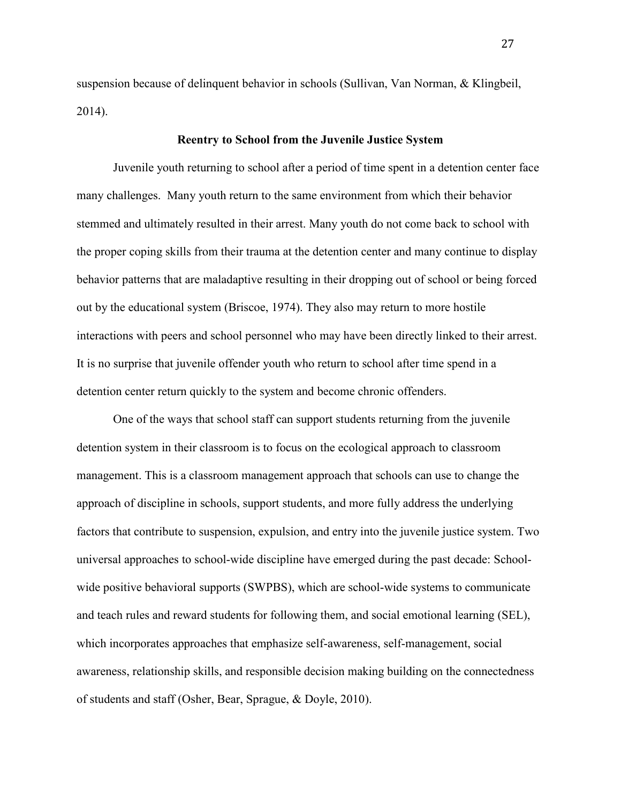suspension because of delinquent behavior in schools (Sullivan, Van Norman, & Klingbeil, 2014).

#### **Reentry to School from the Juvenile Justice System**

 Juvenile youth returning to school after a period of time spent in a detention center face many challenges. Many youth return to the same environment from which their behavior stemmed and ultimately resulted in their arrest. Many youth do not come back to school with the proper coping skills from their trauma at the detention center and many continue to display behavior patterns that are maladaptive resulting in their dropping out of school or being forced out by the educational system (Briscoe, 1974). They also may return to more hostile interactions with peers and school personnel who may have been directly linked to their arrest. It is no surprise that juvenile offender youth who return to school after time spend in a detention center return quickly to the system and become chronic offenders.

 One of the ways that school staff can support students returning from the juvenile detention system in their classroom is to focus on the ecological approach to classroom management. This is a classroom management approach that schools can use to change the approach of discipline in schools, support students, and more fully address the underlying factors that contribute to suspension, expulsion, and entry into the juvenile justice system. Two universal approaches to school-wide discipline have emerged during the past decade: Schoolwide positive behavioral supports (SWPBS), which are school-wide systems to communicate and teach rules and reward students for following them, and social emotional learning (SEL), which incorporates approaches that emphasize self-awareness, self-management, social awareness, relationship skills, and responsible decision making building on the connectedness of students and staff (Osher, Bear, Sprague, & Doyle, 2010).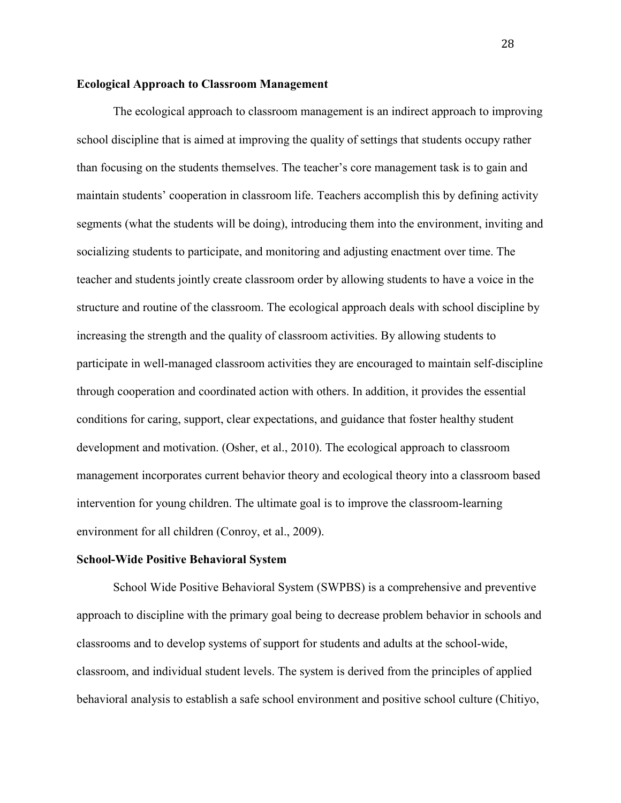#### **Ecological Approach to Classroom Management**

The ecological approach to classroom management is an indirect approach to improving school discipline that is aimed at improving the quality of settings that students occupy rather than focusing on the students themselves. The teacher's core management task is to gain and maintain students' cooperation in classroom life. Teachers accomplish this by defining activity segments (what the students will be doing), introducing them into the environment, inviting and socializing students to participate, and monitoring and adjusting enactment over time. The teacher and students jointly create classroom order by allowing students to have a voice in the structure and routine of the classroom. The ecological approach deals with school discipline by increasing the strength and the quality of classroom activities. By allowing students to participate in well-managed classroom activities they are encouraged to maintain self-discipline through cooperation and coordinated action with others. In addition, it provides the essential conditions for caring, support, clear expectations, and guidance that foster healthy student development and motivation. (Osher, et al., 2010). The ecological approach to classroom management incorporates current behavior theory and ecological theory into a classroom based intervention for young children. The ultimate goal is to improve the classroom-learning environment for all children (Conroy, et al., 2009).

#### **School-Wide Positive Behavioral System**

School Wide Positive Behavioral System (SWPBS) is a comprehensive and preventive approach to discipline with the primary goal being to decrease problem behavior in schools and classrooms and to develop systems of support for students and adults at the school-wide, classroom, and individual student levels. The system is derived from the principles of applied behavioral analysis to establish a safe school environment and positive school culture (Chitiyo,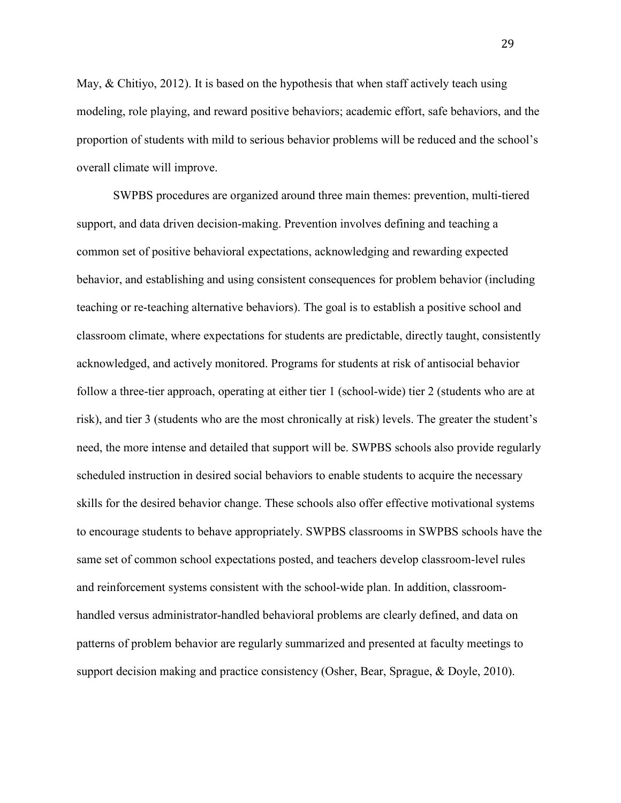May, & Chitiyo, 2012). It is based on the hypothesis that when staff actively teach using modeling, role playing, and reward positive behaviors; academic effort, safe behaviors, and the proportion of students with mild to serious behavior problems will be reduced and the school's overall climate will improve.

 SWPBS procedures are organized around three main themes: prevention, multi-tiered support, and data driven decision-making. Prevention involves defining and teaching a common set of positive behavioral expectations, acknowledging and rewarding expected behavior, and establishing and using consistent consequences for problem behavior (including teaching or re-teaching alternative behaviors). The goal is to establish a positive school and classroom climate, where expectations for students are predictable, directly taught, consistently acknowledged, and actively monitored. Programs for students at risk of antisocial behavior follow a three-tier approach, operating at either tier 1 (school-wide) tier 2 (students who are at risk), and tier 3 (students who are the most chronically at risk) levels. The greater the student's need, the more intense and detailed that support will be. SWPBS schools also provide regularly scheduled instruction in desired social behaviors to enable students to acquire the necessary skills for the desired behavior change. These schools also offer effective motivational systems to encourage students to behave appropriately. SWPBS classrooms in SWPBS schools have the same set of common school expectations posted, and teachers develop classroom-level rules and reinforcement systems consistent with the school-wide plan. In addition, classroomhandled versus administrator-handled behavioral problems are clearly defined, and data on patterns of problem behavior are regularly summarized and presented at faculty meetings to support decision making and practice consistency (Osher, Bear, Sprague, & Doyle, 2010).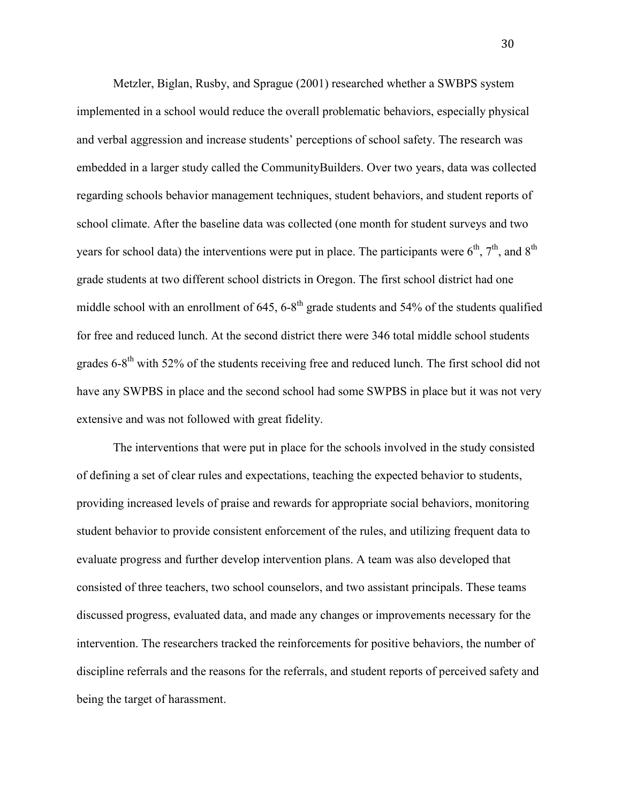Metzler, Biglan, Rusby, and Sprague (2001) researched whether a SWBPS system implemented in a school would reduce the overall problematic behaviors, especially physical and verbal aggression and increase students' perceptions of school safety. The research was embedded in a larger study called the CommunityBuilders. Over two years, data was collected regarding schools behavior management techniques, student behaviors, and student reports of school climate. After the baseline data was collected (one month for student surveys and two years for school data) the interventions were put in place. The participants were  $6<sup>th</sup>$ ,  $7<sup>th</sup>$ , and  $8<sup>th</sup>$ grade students at two different school districts in Oregon. The first school district had one middle school with an enrollment of  $645$ ,  $6-8$ <sup>th</sup> grade students and  $54\%$  of the students qualified for free and reduced lunch. At the second district there were 346 total middle school students grades  $6-8<sup>th</sup>$  with 52% of the students receiving free and reduced lunch. The first school did not have any SWPBS in place and the second school had some SWPBS in place but it was not very extensive and was not followed with great fidelity.

 The interventions that were put in place for the schools involved in the study consisted of defining a set of clear rules and expectations, teaching the expected behavior to students, providing increased levels of praise and rewards for appropriate social behaviors, monitoring student behavior to provide consistent enforcement of the rules, and utilizing frequent data to evaluate progress and further develop intervention plans. A team was also developed that consisted of three teachers, two school counselors, and two assistant principals. These teams discussed progress, evaluated data, and made any changes or improvements necessary for the intervention. The researchers tracked the reinforcements for positive behaviors, the number of discipline referrals and the reasons for the referrals, and student reports of perceived safety and being the target of harassment.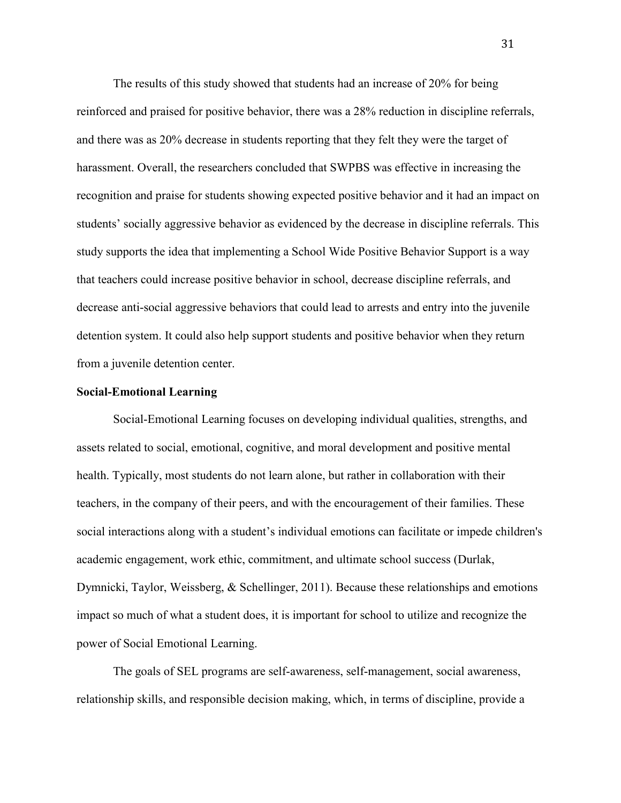The results of this study showed that students had an increase of 20% for being reinforced and praised for positive behavior, there was a 28% reduction in discipline referrals, and there was as 20% decrease in students reporting that they felt they were the target of harassment. Overall, the researchers concluded that SWPBS was effective in increasing the recognition and praise for students showing expected positive behavior and it had an impact on students' socially aggressive behavior as evidenced by the decrease in discipline referrals. This study supports the idea that implementing a School Wide Positive Behavior Support is a way that teachers could increase positive behavior in school, decrease discipline referrals, and decrease anti-social aggressive behaviors that could lead to arrests and entry into the juvenile detention system. It could also help support students and positive behavior when they return from a juvenile detention center.

#### **Social-Emotional Learning**

Social-Emotional Learning focuses on developing individual qualities, strengths, and assets related to social, emotional, cognitive, and moral development and positive mental health. Typically, most students do not learn alone, but rather in collaboration with their teachers, in the company of their peers, and with the encouragement of their families. These social interactions along with a student's individual emotions can facilitate or impede children's academic engagement, work ethic, commitment, and ultimate school success (Durlak, Dymnicki, Taylor, Weissberg, & Schellinger, 2011). Because these relationships and emotions impact so much of what a student does, it is important for school to utilize and recognize the power of Social Emotional Learning.

The goals of SEL programs are self-awareness, self-management, social awareness, relationship skills, and responsible decision making, which, in terms of discipline, provide a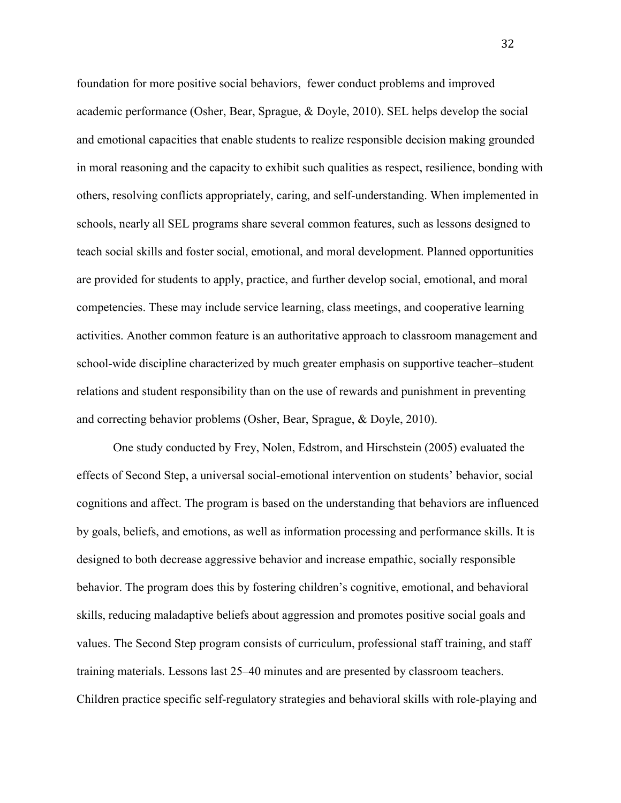foundation for more positive social behaviors, fewer conduct problems and improved academic performance (Osher, Bear, Sprague, & Doyle, 2010). SEL helps develop the social and emotional capacities that enable students to realize responsible decision making grounded in moral reasoning and the capacity to exhibit such qualities as respect, resilience, bonding with others, resolving conflicts appropriately, caring, and self-understanding. When implemented in schools, nearly all SEL programs share several common features, such as lessons designed to teach social skills and foster social, emotional, and moral development. Planned opportunities are provided for students to apply, practice, and further develop social, emotional, and moral competencies. These may include service learning, class meetings, and cooperative learning activities. Another common feature is an authoritative approach to classroom management and school-wide discipline characterized by much greater emphasis on supportive teacher–student relations and student responsibility than on the use of rewards and punishment in preventing and correcting behavior problems (Osher, Bear, Sprague, & Doyle, 2010).

 One study conducted by Frey, Nolen, Edstrom, and Hirschstein (2005) evaluated the effects of Second Step, a universal social-emotional intervention on students' behavior, social cognitions and affect. The program is based on the understanding that behaviors are influenced by goals, beliefs, and emotions, as well as information processing and performance skills. It is designed to both decrease aggressive behavior and increase empathic, socially responsible behavior. The program does this by fostering children's cognitive, emotional, and behavioral skills, reducing maladaptive beliefs about aggression and promotes positive social goals and values. The Second Step program consists of curriculum, professional staff training, and staff training materials. Lessons last 25–40 minutes and are presented by classroom teachers. Children practice specific self-regulatory strategies and behavioral skills with role-playing and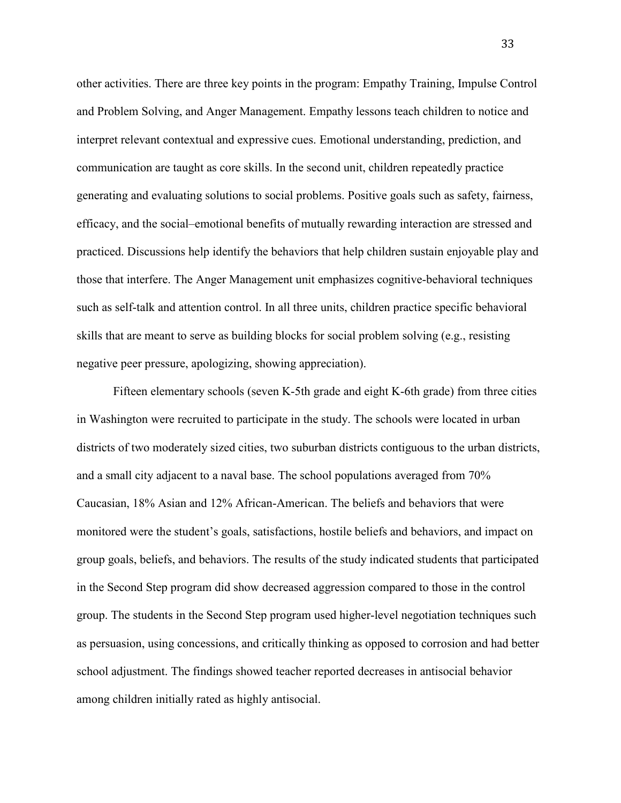other activities. There are three key points in the program: Empathy Training, Impulse Control and Problem Solving, and Anger Management. Empathy lessons teach children to notice and interpret relevant contextual and expressive cues. Emotional understanding, prediction, and communication are taught as core skills. In the second unit, children repeatedly practice generating and evaluating solutions to social problems. Positive goals such as safety, fairness, efficacy, and the social–emotional benefits of mutually rewarding interaction are stressed and practiced. Discussions help identify the behaviors that help children sustain enjoyable play and those that interfere. The Anger Management unit emphasizes cognitive-behavioral techniques such as self-talk and attention control. In all three units, children practice specific behavioral skills that are meant to serve as building blocks for social problem solving (e.g., resisting negative peer pressure, apologizing, showing appreciation).

Fifteen elementary schools (seven K-5th grade and eight K-6th grade) from three cities in Washington were recruited to participate in the study. The schools were located in urban districts of two moderately sized cities, two suburban districts contiguous to the urban districts, and a small city adjacent to a naval base. The school populations averaged from 70% Caucasian, 18% Asian and 12% African-American. The beliefs and behaviors that were monitored were the student's goals, satisfactions, hostile beliefs and behaviors, and impact on group goals, beliefs, and behaviors. The results of the study indicated students that participated in the Second Step program did show decreased aggression compared to those in the control group. The students in the Second Step program used higher-level negotiation techniques such as persuasion, using concessions, and critically thinking as opposed to corrosion and had better school adjustment. The findings showed teacher reported decreases in antisocial behavior among children initially rated as highly antisocial.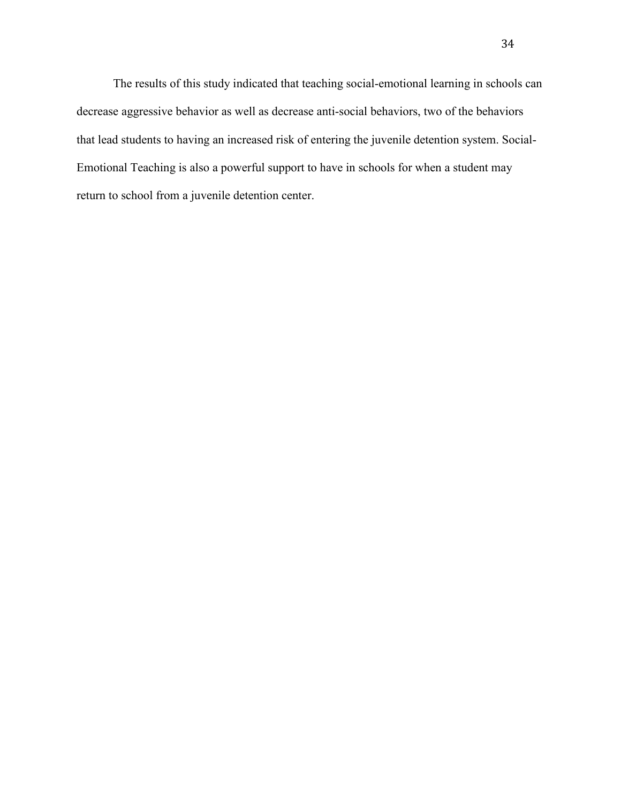The results of this study indicated that teaching social-emotional learning in schools can decrease aggressive behavior as well as decrease anti-social behaviors, two of the behaviors that lead students to having an increased risk of entering the juvenile detention system. Social-Emotional Teaching is also a powerful support to have in schools for when a student may return to school from a juvenile detention center.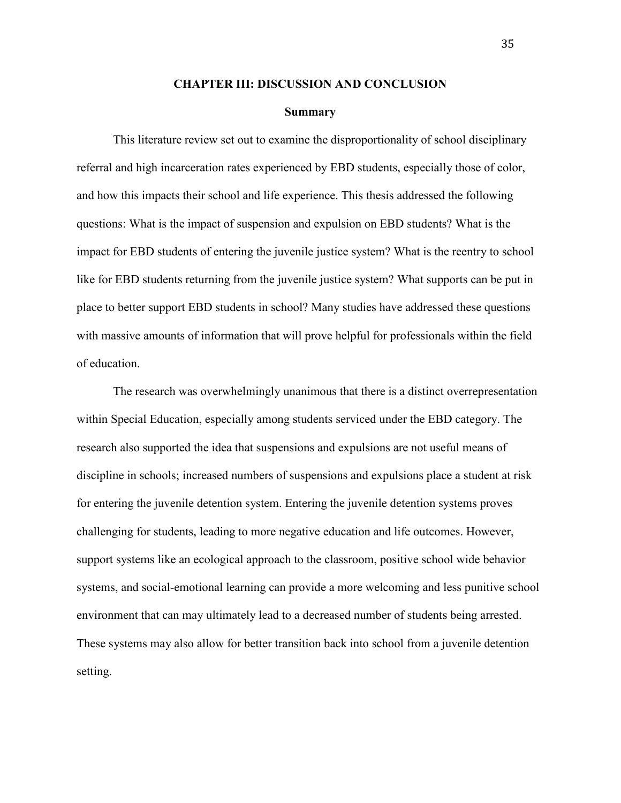#### **CHAPTER III: DISCUSSION AND CONCLUSION**

#### **Summary**

This literature review set out to examine the disproportionality of school disciplinary referral and high incarceration rates experienced by EBD students, especially those of color, and how this impacts their school and life experience. This thesis addressed the following questions: What is the impact of suspension and expulsion on EBD students? What is the impact for EBD students of entering the juvenile justice system? What is the reentry to school like for EBD students returning from the juvenile justice system? What supports can be put in place to better support EBD students in school? Many studies have addressed these questions with massive amounts of information that will prove helpful for professionals within the field of education.

The research was overwhelmingly unanimous that there is a distinct overrepresentation within Special Education, especially among students serviced under the EBD category. The research also supported the idea that suspensions and expulsions are not useful means of discipline in schools; increased numbers of suspensions and expulsions place a student at risk for entering the juvenile detention system. Entering the juvenile detention systems proves challenging for students, leading to more negative education and life outcomes. However, support systems like an ecological approach to the classroom, positive school wide behavior systems, and social-emotional learning can provide a more welcoming and less punitive school environment that can may ultimately lead to a decreased number of students being arrested. These systems may also allow for better transition back into school from a juvenile detention setting.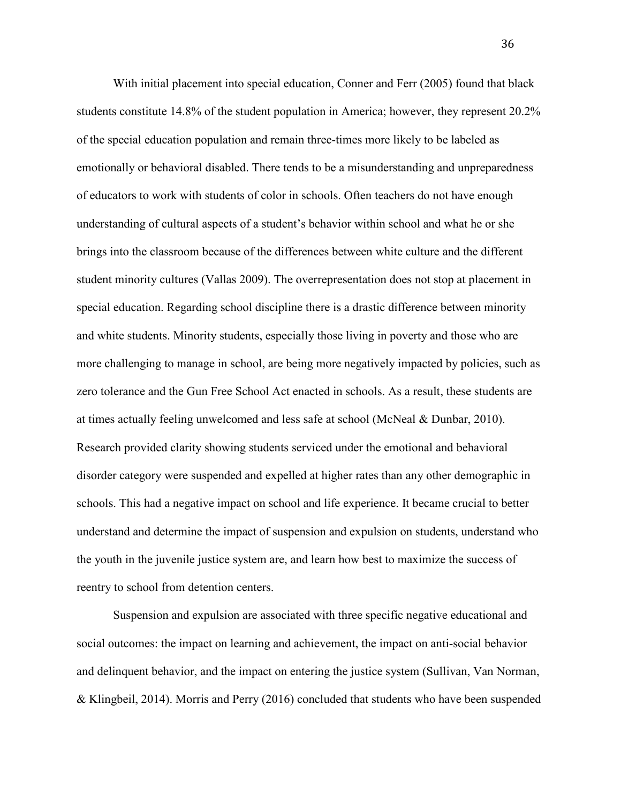With initial placement into special education, Conner and Ferr (2005) found that black students constitute 14.8% of the student population in America; however, they represent 20.2% of the special education population and remain three-times more likely to be labeled as emotionally or behavioral disabled. There tends to be a misunderstanding and unpreparedness of educators to work with students of color in schools. Often teachers do not have enough understanding of cultural aspects of a student's behavior within school and what he or she brings into the classroom because of the differences between white culture and the different student minority cultures (Vallas 2009). The overrepresentation does not stop at placement in special education. Regarding school discipline there is a drastic difference between minority and white students. Minority students, especially those living in poverty and those who are more challenging to manage in school, are being more negatively impacted by policies, such as zero tolerance and the Gun Free School Act enacted in schools. As a result, these students are at times actually feeling unwelcomed and less safe at school (McNeal & Dunbar, 2010). Research provided clarity showing students serviced under the emotional and behavioral disorder category were suspended and expelled at higher rates than any other demographic in schools. This had a negative impact on school and life experience. It became crucial to better understand and determine the impact of suspension and expulsion on students, understand who the youth in the juvenile justice system are, and learn how best to maximize the success of reentry to school from detention centers.

 Suspension and expulsion are associated with three specific negative educational and social outcomes: the impact on learning and achievement, the impact on anti-social behavior and delinquent behavior, and the impact on entering the justice system (Sullivan, Van Norman, & Klingbeil, 2014). Morris and Perry (2016) concluded that students who have been suspended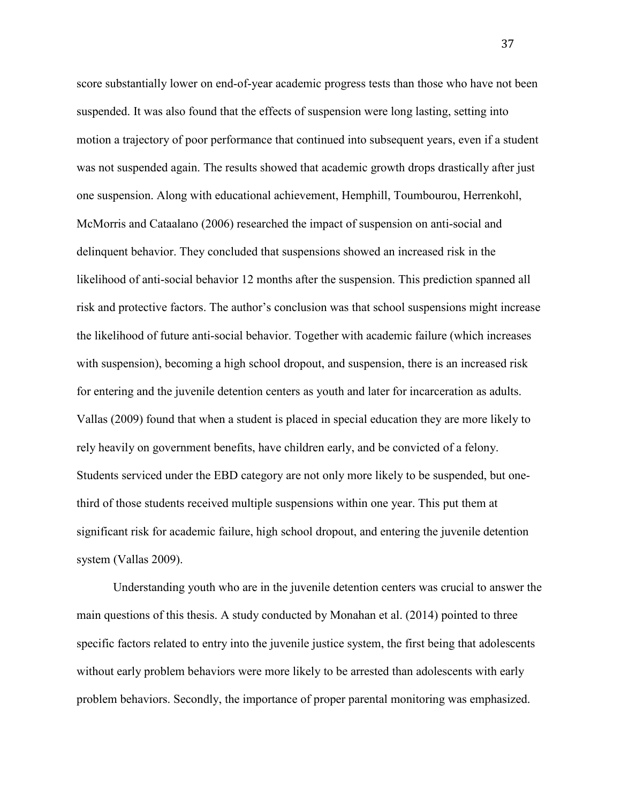score substantially lower on end-of-year academic progress tests than those who have not been suspended. It was also found that the effects of suspension were long lasting, setting into motion a trajectory of poor performance that continued into subsequent years, even if a student was not suspended again. The results showed that academic growth drops drastically after just one suspension. Along with educational achievement, Hemphill, Toumbourou, Herrenkohl, McMorris and Cataalano (2006) researched the impact of suspension on anti-social and delinquent behavior. They concluded that suspensions showed an increased risk in the likelihood of anti-social behavior 12 months after the suspension. This prediction spanned all risk and protective factors. The author's conclusion was that school suspensions might increase the likelihood of future anti-social behavior. Together with academic failure (which increases with suspension), becoming a high school dropout, and suspension, there is an increased risk for entering and the juvenile detention centers as youth and later for incarceration as adults. Vallas (2009) found that when a student is placed in special education they are more likely to rely heavily on government benefits, have children early, and be convicted of a felony. Students serviced under the EBD category are not only more likely to be suspended, but onethird of those students received multiple suspensions within one year. This put them at significant risk for academic failure, high school dropout, and entering the juvenile detention system (Vallas 2009).

 Understanding youth who are in the juvenile detention centers was crucial to answer the main questions of this thesis. A study conducted by Monahan et al. (2014) pointed to three specific factors related to entry into the juvenile justice system, the first being that adolescents without early problem behaviors were more likely to be arrested than adolescents with early problem behaviors. Secondly, the importance of proper parental monitoring was emphasized.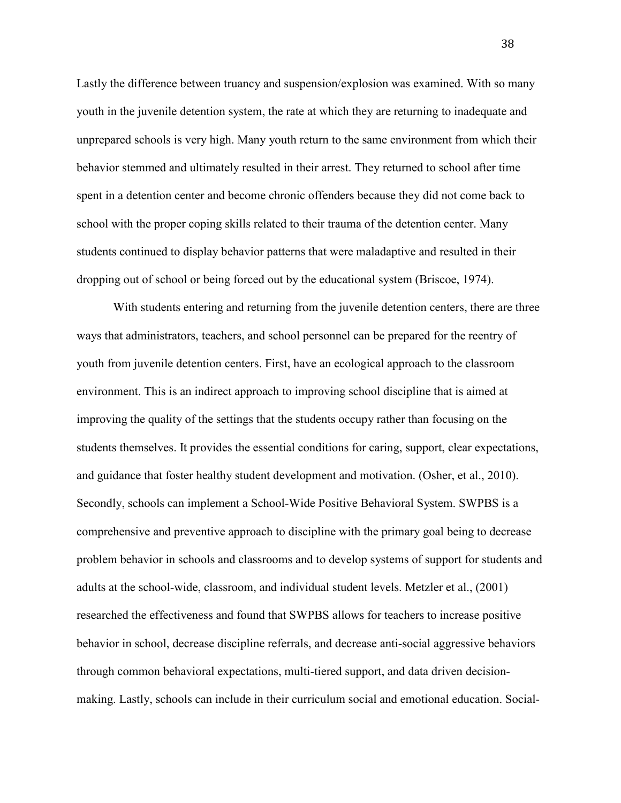Lastly the difference between truancy and suspension/explosion was examined. With so many youth in the juvenile detention system, the rate at which they are returning to inadequate and unprepared schools is very high. Many youth return to the same environment from which their behavior stemmed and ultimately resulted in their arrest. They returned to school after time spent in a detention center and become chronic offenders because they did not come back to school with the proper coping skills related to their trauma of the detention center. Many students continued to display behavior patterns that were maladaptive and resulted in their dropping out of school or being forced out by the educational system (Briscoe, 1974).

 With students entering and returning from the juvenile detention centers, there are three ways that administrators, teachers, and school personnel can be prepared for the reentry of youth from juvenile detention centers. First, have an ecological approach to the classroom environment. This is an indirect approach to improving school discipline that is aimed at improving the quality of the settings that the students occupy rather than focusing on the students themselves. It provides the essential conditions for caring, support, clear expectations, and guidance that foster healthy student development and motivation. (Osher, et al., 2010). Secondly, schools can implement a School-Wide Positive Behavioral System. SWPBS is a comprehensive and preventive approach to discipline with the primary goal being to decrease problem behavior in schools and classrooms and to develop systems of support for students and adults at the school-wide, classroom, and individual student levels. Metzler et al., (2001) researched the effectiveness and found that SWPBS allows for teachers to increase positive behavior in school, decrease discipline referrals, and decrease anti-social aggressive behaviors through common behavioral expectations, multi-tiered support, and data driven decisionmaking. Lastly, schools can include in their curriculum social and emotional education. Social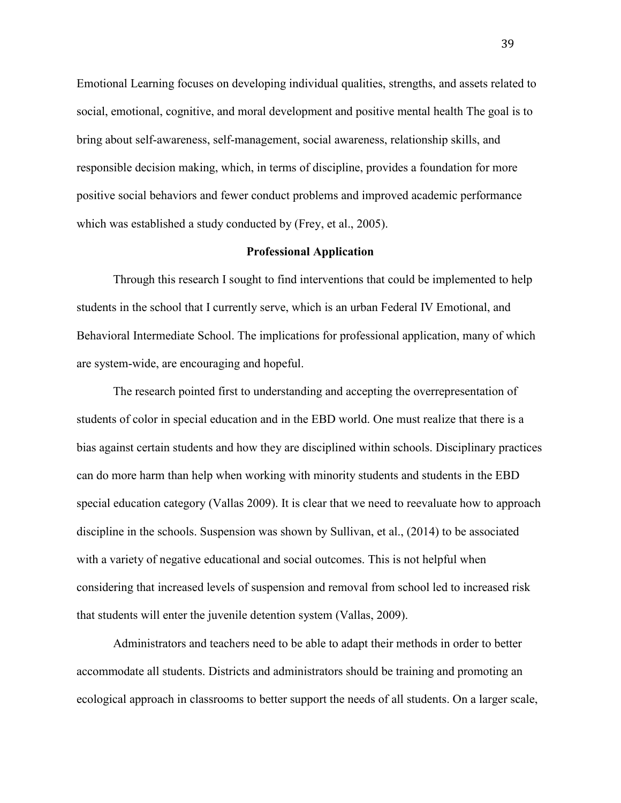Emotional Learning focuses on developing individual qualities, strengths, and assets related to social, emotional, cognitive, and moral development and positive mental health The goal is to bring about self-awareness, self-management, social awareness, relationship skills, and responsible decision making, which, in terms of discipline, provides a foundation for more positive social behaviors and fewer conduct problems and improved academic performance which was established a study conducted by (Frey, et al., 2005).

#### **Professional Application**

 Through this research I sought to find interventions that could be implemented to help students in the school that I currently serve, which is an urban Federal IV Emotional, and Behavioral Intermediate School. The implications for professional application, many of which are system-wide, are encouraging and hopeful.

The research pointed first to understanding and accepting the overrepresentation of students of color in special education and in the EBD world. One must realize that there is a bias against certain students and how they are disciplined within schools. Disciplinary practices can do more harm than help when working with minority students and students in the EBD special education category (Vallas 2009). It is clear that we need to reevaluate how to approach discipline in the schools. Suspension was shown by Sullivan, et al., (2014) to be associated with a variety of negative educational and social outcomes. This is not helpful when considering that increased levels of suspension and removal from school led to increased risk that students will enter the juvenile detention system (Vallas, 2009).

Administrators and teachers need to be able to adapt their methods in order to better accommodate all students. Districts and administrators should be training and promoting an ecological approach in classrooms to better support the needs of all students. On a larger scale,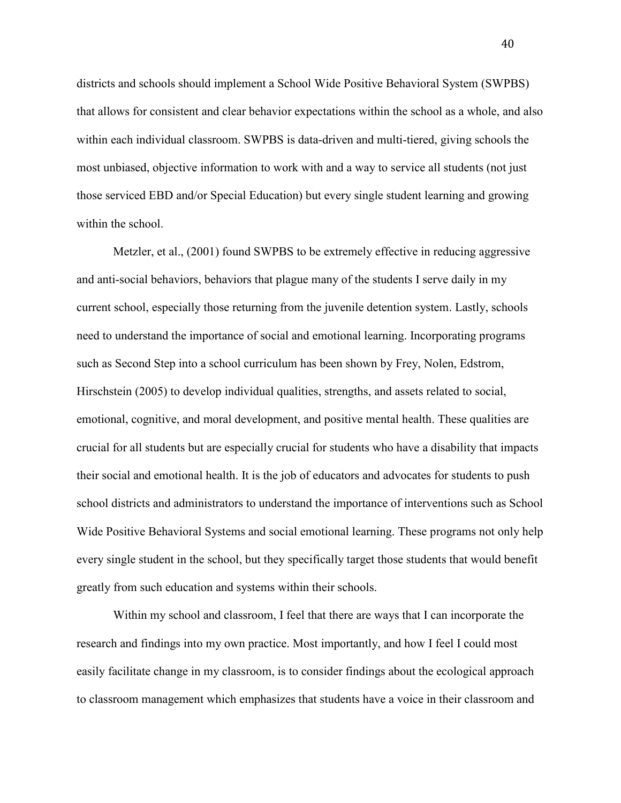districts and schools should implement a School Wide Positive Behavioral System (SWPBS) that allows for consistent and clear behavior expectations within the school as a whole, and also within each individual classroom. SWPBS is data-driven and multi-tiered, giving schools the most unbiased, objective information to work with and a way to service all students (not just those serviced EBD and/or Special Education) but every single student learning and growing within the school.

Metzler, et al., (2001) found SWPBS to be extremely effective in reducing aggressive and anti-social behaviors, behaviors that plague many of the students I serve daily in my current school, especially those returning from the juvenile detention system. Lastly, schools need to understand the importance of social and emotional learning. Incorporating programs such as Second Step into a school curriculum has been shown by Frey, Nolen, Edstrom, Hirschstein (2005) to develop individual qualities, strengths, and assets related to social, emotional, cognitive, and moral development, and positive mental health. These qualities are crucial for all students but are especially crucial for students who have a disability that impacts their social and emotional health. It is the job of educators and advocates for students to push school districts and administrators to understand the importance of interventions such as School Wide Positive Behavioral Systems and social emotional learning. These programs not only help every single student in the school, but they specifically target those students that would benefit greatly from such education and systems within their schools.

 Within my school and classroom, I feel that there are ways that I can incorporate the research and findings into my own practice. Most importantly, and how I feel I could most easily facilitate change in my classroom, is to consider findings about the ecological approach to classroom management which emphasizes that students have a voice in their classroom and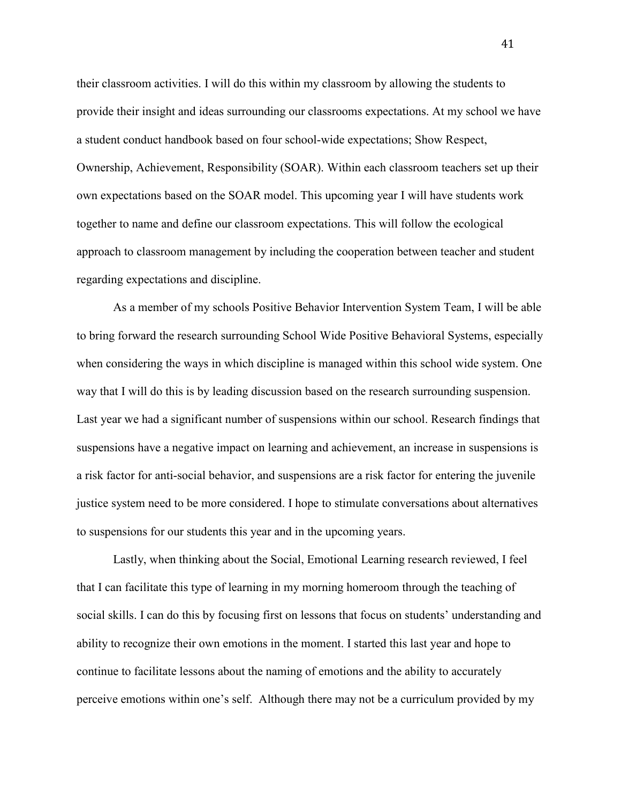their classroom activities. I will do this within my classroom by allowing the students to provide their insight and ideas surrounding our classrooms expectations. At my school we have a student conduct handbook based on four school-wide expectations; Show Respect, Ownership, Achievement, Responsibility (SOAR). Within each classroom teachers set up their own expectations based on the SOAR model. This upcoming year I will have students work together to name and define our classroom expectations. This will follow the ecological approach to classroom management by including the cooperation between teacher and student regarding expectations and discipline.

As a member of my schools Positive Behavior Intervention System Team, I will be able to bring forward the research surrounding School Wide Positive Behavioral Systems, especially when considering the ways in which discipline is managed within this school wide system. One way that I will do this is by leading discussion based on the research surrounding suspension. Last year we had a significant number of suspensions within our school. Research findings that suspensions have a negative impact on learning and achievement, an increase in suspensions is a risk factor for anti-social behavior, and suspensions are a risk factor for entering the juvenile justice system need to be more considered. I hope to stimulate conversations about alternatives to suspensions for our students this year and in the upcoming years.

 Lastly, when thinking about the Social, Emotional Learning research reviewed, I feel that I can facilitate this type of learning in my morning homeroom through the teaching of social skills. I can do this by focusing first on lessons that focus on students' understanding and ability to recognize their own emotions in the moment. I started this last year and hope to continue to facilitate lessons about the naming of emotions and the ability to accurately perceive emotions within one's self. Although there may not be a curriculum provided by my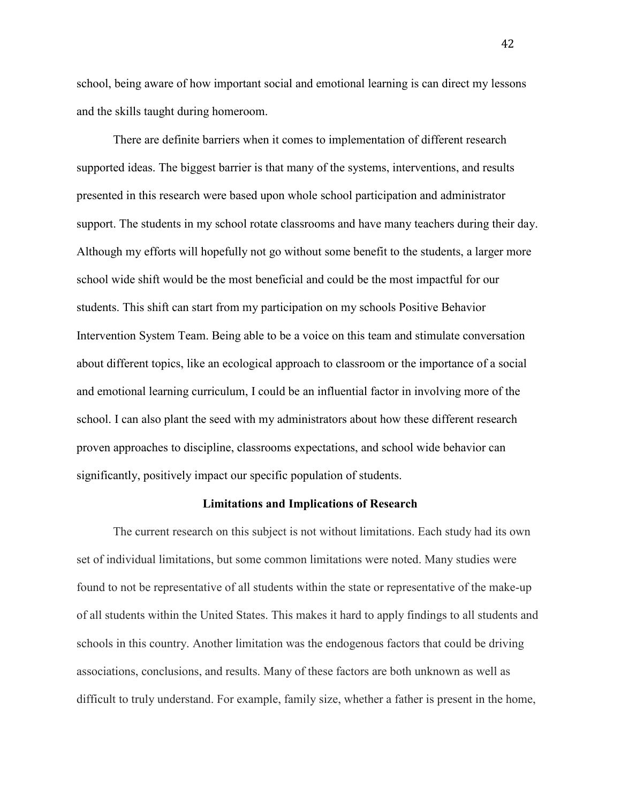school, being aware of how important social and emotional learning is can direct my lessons and the skills taught during homeroom.

There are definite barriers when it comes to implementation of different research supported ideas. The biggest barrier is that many of the systems, interventions, and results presented in this research were based upon whole school participation and administrator support. The students in my school rotate classrooms and have many teachers during their day. Although my efforts will hopefully not go without some benefit to the students, a larger more school wide shift would be the most beneficial and could be the most impactful for our students. This shift can start from my participation on my schools Positive Behavior Intervention System Team. Being able to be a voice on this team and stimulate conversation about different topics, like an ecological approach to classroom or the importance of a social and emotional learning curriculum, I could be an influential factor in involving more of the school. I can also plant the seed with my administrators about how these different research proven approaches to discipline, classrooms expectations, and school wide behavior can significantly, positively impact our specific population of students.

#### **Limitations and Implications of Research**

The current research on this subject is not without limitations. Each study had its own set of individual limitations, but some common limitations were noted. Many studies were found to not be representative of all students within the state or representative of the make-up of all students within the United States. This makes it hard to apply findings to all students and schools in this country. Another limitation was the endogenous factors that could be driving associations, conclusions, and results. Many of these factors are both unknown as well as difficult to truly understand. For example, family size, whether a father is present in the home,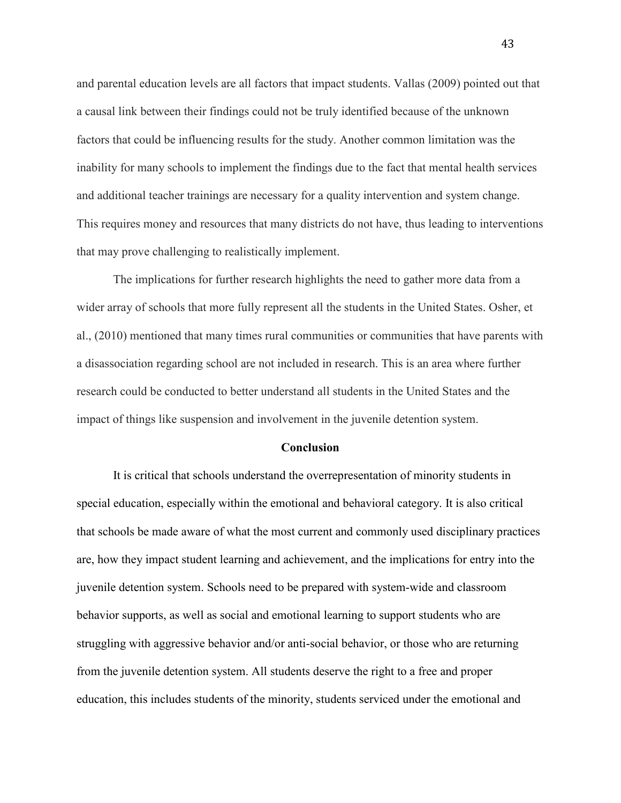and parental education levels are all factors that impact students. Vallas (2009) pointed out that a causal link between their findings could not be truly identified because of the unknown factors that could be influencing results for the study. Another common limitation was the inability for many schools to implement the findings due to the fact that mental health services and additional teacher trainings are necessary for a quality intervention and system change. This requires money and resources that many districts do not have, thus leading to interventions that may prove challenging to realistically implement.

The implications for further research highlights the need to gather more data from a wider array of schools that more fully represent all the students in the United States. Osher, et al., (2010) mentioned that many times rural communities or communities that have parents with a disassociation regarding school are not included in research. This is an area where further research could be conducted to better understand all students in the United States and the impact of things like suspension and involvement in the juvenile detention system.

#### **Conclusion**

It is critical that schools understand the overrepresentation of minority students in special education, especially within the emotional and behavioral category. It is also critical that schools be made aware of what the most current and commonly used disciplinary practices are, how they impact student learning and achievement, and the implications for entry into the juvenile detention system. Schools need to be prepared with system-wide and classroom behavior supports, as well as social and emotional learning to support students who are struggling with aggressive behavior and/or anti-social behavior, or those who are returning from the juvenile detention system. All students deserve the right to a free and proper education, this includes students of the minority, students serviced under the emotional and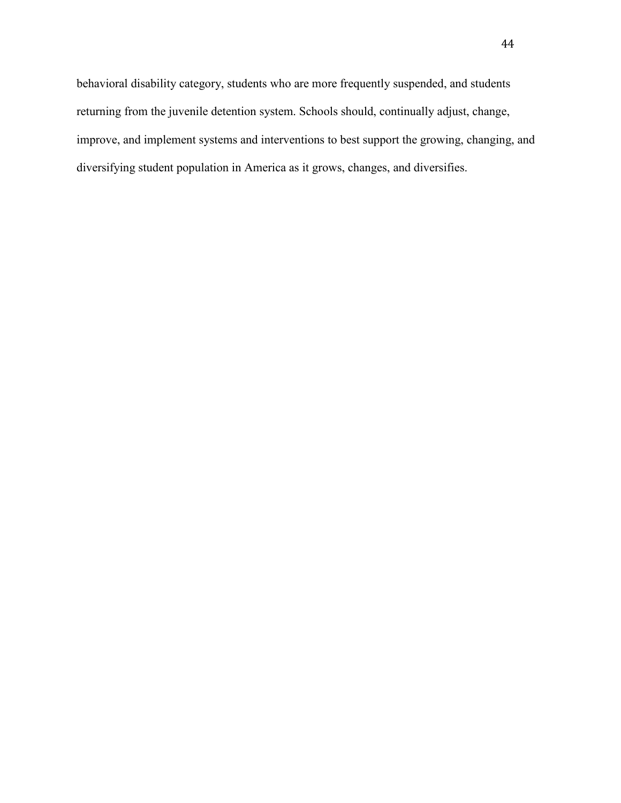behavioral disability category, students who are more frequently suspended, and students returning from the juvenile detention system. Schools should, continually adjust, change, improve, and implement systems and interventions to best support the growing, changing, and diversifying student population in America as it grows, changes, and diversifies.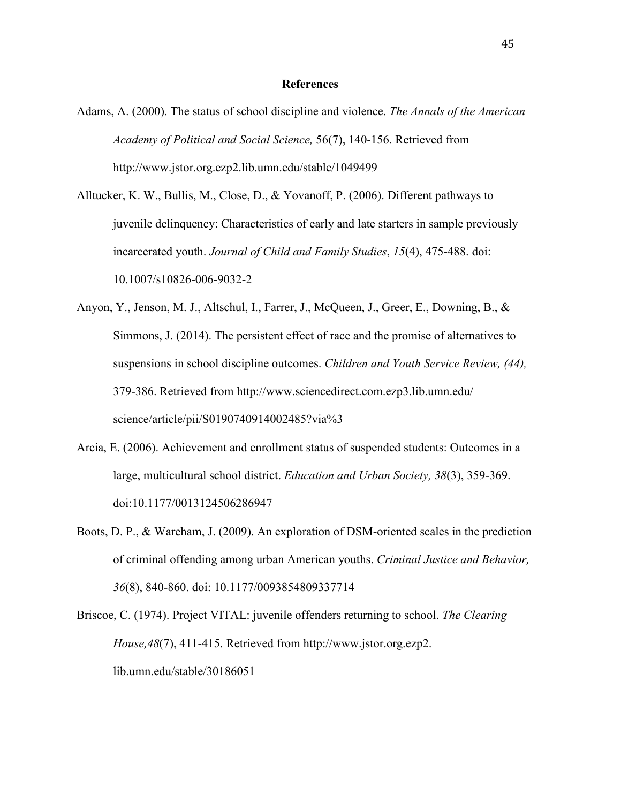#### **References**

- Adams, A. (2000). The status of school discipline and violence. *The Annals of the American Academy of Political and Social Science,* 56(7), 140-156. Retrieved from http://www.jstor.org.ezp2.lib.umn.edu/stable/1049499
- Alltucker, K. W., Bullis, M., Close, D., & Yovanoff, P. (2006). Different pathways to juvenile delinquency: Characteristics of early and late starters in sample previously incarcerated youth. *Journal of Child and Family Studies*, *15*(4), 475-488. doi: 10.1007/s10826-006-9032-2
- Anyon, Y., Jenson, M. J., Altschul, I., Farrer, J., McQueen, J., Greer, E., Downing, B., & Simmons, J. (2014). The persistent effect of race and the promise of alternatives to suspensions in school discipline outcomes. *Children and Youth Service Review, (44),* 379-386. Retrieved from http://www.sciencedirect.com.ezp3.lib.umn.edu/ science/article/pii/S0190740914002485?via%3
- Arcia, E. (2006). Achievement and enrollment status of suspended students: Outcomes in a large, multicultural school district. *Education and Urban Society, 38*(3), 359-369. doi:10.1177/0013124506286947
- Boots, D. P., & Wareham, J. (2009). An exploration of DSM-oriented scales in the prediction of criminal offending among urban American youths. *Criminal Justice and Behavior, 36*(8), 840-860. doi: 10.1177/0093854809337714
- Briscoe, C. (1974). Project VITAL: juvenile offenders returning to school. *The Clearing House,48*(7), 411-415. Retrieved from http://www.jstor.org.ezp2. lib.umn.edu/stable/30186051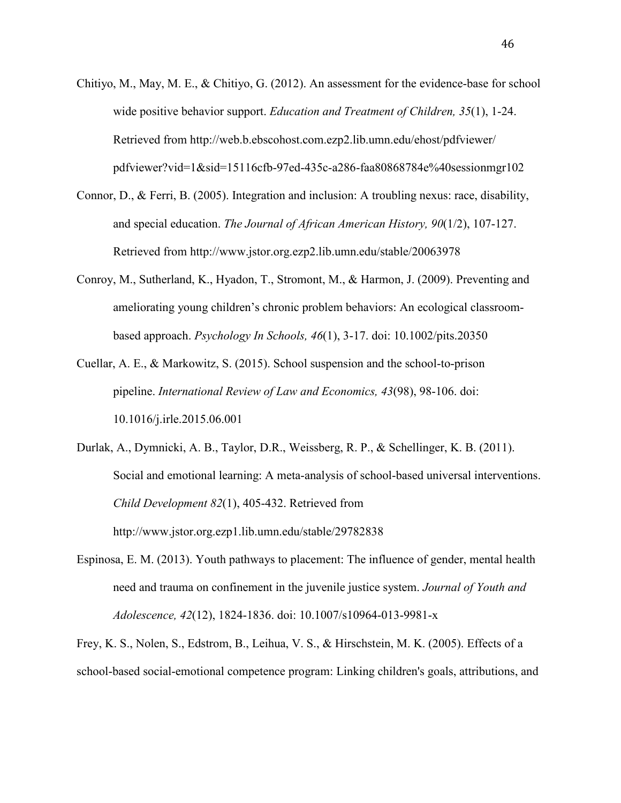- Chitiyo, M., May, M. E., & Chitiyo, G. (2012). An assessment for the evidence-base for school wide positive behavior support. *Education and Treatment of Children, 35*(1), 1-24. Retrieved from http://web.b.ebscohost.com.ezp2.lib.umn.edu/ehost/pdfviewer/ pdfviewer?vid=1&sid=15116cfb-97ed-435c-a286-faa80868784e%40sessionmgr102
- Connor, D., & Ferri, B. (2005). Integration and inclusion: A troubling nexus: race, disability, and special education. *The Journal of African American History, 90*(1/2), 107-127. Retrieved from http://www.jstor.org.ezp2.lib.umn.edu/stable/20063978
- Conroy, M., Sutherland, K., Hyadon, T., Stromont, M., & Harmon, J. (2009). Preventing and ameliorating young children's chronic problem behaviors: An ecological classroom based approach. *Psychology In Schools, 46*(1), 3-17. doi: 10.1002/pits.20350
- Cuellar, A. E., & Markowitz, S. (2015). School suspension and the school-to-prison pipeline. *International Review of Law and Economics, 43*(98), 98-106. doi: 10.1016/j.irle.2015.06.001
- Durlak, A., Dymnicki, A. B., Taylor, D.R., Weissberg, R. P., & Schellinger, K. B. (2011). Social and emotional learning: A meta-analysis of school-based universal interventions. *Child Development 82*(1), 405-432. Retrieved from http://www.jstor.org.ezp1.lib.umn.edu/stable/29782838
- Espinosa, E. M. (2013). Youth pathways to placement: The influence of gender, mental health need and trauma on confinement in the juvenile justice system. *Journal of Youth and Adolescence, 42*(12), 1824-1836. doi: 10.1007/s10964-013-9981-x

Frey, K. S., Nolen, S., Edstrom, B., Leihua, V. S., & Hirschstein, M. K. (2005). Effects of a school-based social-emotional competence program: Linking children's goals, attributions, and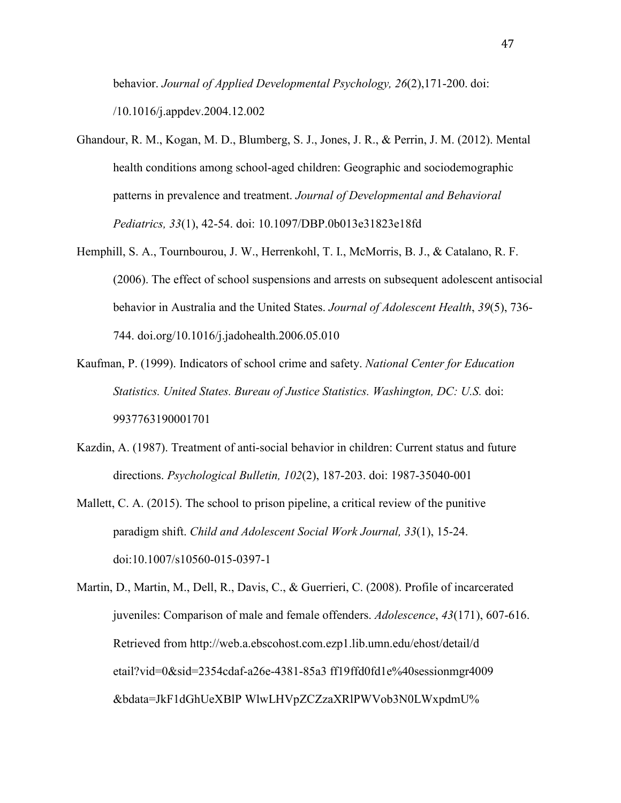behavior. *Journal of Applied Developmental Psychology, 26*(2),171-200. doi: /10.1016/j.appdev.2004.12.002

- Ghandour, R. M., Kogan, M. D., Blumberg, S. J., Jones, J. R., & Perrin, J. M. (2012). Mental health conditions among school-aged children: Geographic and sociodemographic patterns in prevalence and treatment. *Journal of Developmental and Behavioral Pediatrics, 33*(1), 42-54. doi: 10.1097/DBP.0b013e31823e18fd
- Hemphill, S. A., Tournbourou, J. W., Herrenkohl, T. I., McMorris, B. J., & Catalano, R. F. (2006). The effect of school suspensions and arrests on subsequent adolescent antisocial behavior in Australia and the United States. *Journal of Adolescent Health*, *39*(5), 736- 744. doi.org/10.1016/j.jadohealth.2006.05.010
- Kaufman, P. (1999). Indicators of school crime and safety. *National Center for Education Statistics. United States. Bureau of Justice Statistics. Washington, DC: U.S.* doi: 9937763190001701
- Kazdin, A. (1987). Treatment of anti-social behavior in children: Current status and future directions. *Psychological Bulletin, 102*(2), 187-203. doi: 1987-35040-001
- Mallett, C. A. (2015). The school to prison pipeline, a critical review of the punitive paradigm shift. *Child and Adolescent Social Work Journal, 33*(1), 15-24. doi:10.1007/s10560-015-0397-1
- Martin, D., Martin, M., Dell, R., Davis, C., & Guerrieri, C. (2008). Profile of incarcerated juveniles: Comparison of male and female offenders. *Adolescence*, *43*(171), 607-616. Retrieved from http://web.a.ebscohost.com.ezp1.lib.umn.edu/ehost/detail/d etail?vid=0&sid=2354cdaf-a26e-4381-85a3 ff19ffd0fd1e%40sessionmgr4009 &bdata=JkF1dGhUeXBlP WlwLHVpZCZzaXRlPWVob3N0LWxpdmU%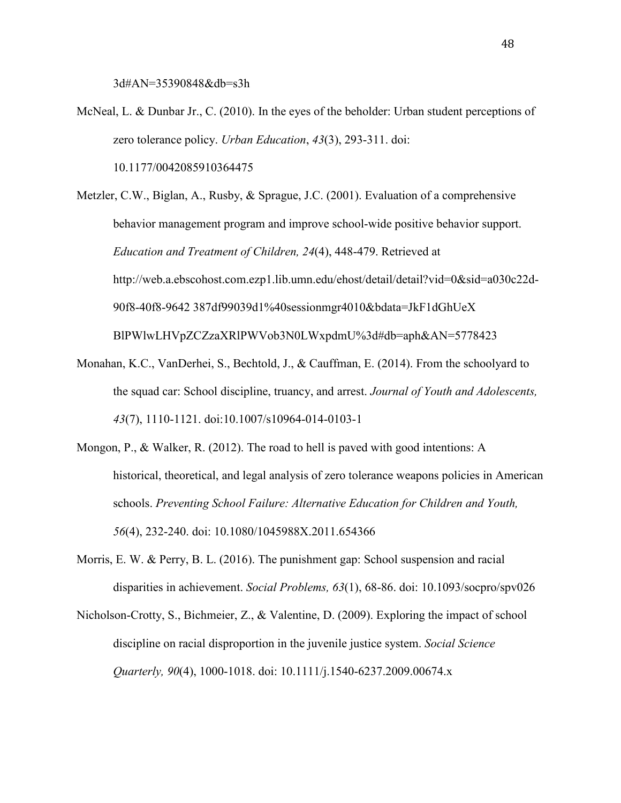3d#AN=35390848&db=s3h

McNeal, L. & Dunbar Jr., C. (2010). In the eyes of the beholder: Urban student perceptions of zero tolerance policy. *Urban Education*, *43*(3), 293-311. doi: 10.1177/0042085910364475

Metzler, C.W., Biglan, A., Rusby, & Sprague, J.C. (2001). Evaluation of a comprehensive behavior management program and improve school-wide positive behavior support. *Education and Treatment of Children, 24*(4), 448-479. Retrieved at http://web.a.ebscohost.com.ezp1.lib.umn.edu/ehost/detail/detail?vid=0&sid=a030c22d- 90f8-40f8-9642 387df99039d1%40sessionmgr4010&bdata=JkF1dGhUeX BlPWlwLHVpZCZzaXRlPWVob3N0LWxpdmU%3d#db=aph&AN=5778423

- Monahan, K.C., VanDerhei, S., Bechtold, J., & Cauffman, E. (2014). From the schoolyard to the squad car: School discipline, truancy, and arrest. *Journal of Youth and Adolescents, 43*(7), 1110-1121. doi:10.1007/s10964-014-0103-1
- Mongon, P., & Walker, R. (2012). The road to hell is paved with good intentions: A historical, theoretical, and legal analysis of zero tolerance weapons policies in American schools. *Preventing School Failure: Alternative Education for Children and Youth, 56*(4), 232-240. doi: 10.1080/1045988X.2011.654366
- Morris, E. W. & Perry, B. L. (2016). The punishment gap: School suspension and racial disparities in achievement. *Social Problems, 63*(1), 68-86. doi: 10.1093/socpro/spv026
- Nicholson-Crotty, S., Bichmeier, Z., & Valentine, D. (2009). Exploring the impact of school discipline on racial disproportion in the juvenile justice system. *Social Science Quarterly, 90*(4), 1000-1018. doi: 10.1111/j.1540-6237.2009.00674.x